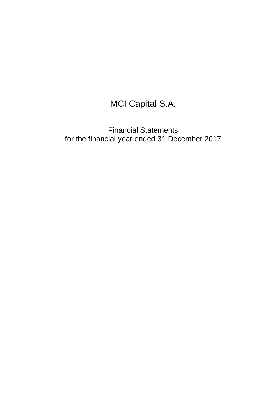# MCI Capital S.A.

Financial Statements for the financial year ended 31 December 2017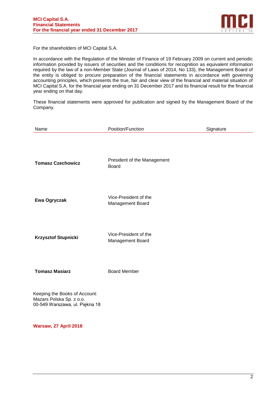

For the shareholders of MCI Capital S.A.

In accordance with the Regulation of the Minister of Finance of 19 February 2009 on current and periodic information provided by issuers of securities and the conditions for recognition as equivalent information required by the law of a non-Member State (Journal of Laws of 2014, No 133), the Management Board of the entity is obliged to procure preparation of the financial statements in accordance with governing accounting principles, which presents the true, fair and clear view of the financial and material situation of MCI Capital S.A. for the financial year ending on 31 December 2017 and its financial result for the financial year ending on that day.

These financial statements were approved for publication and signed by the Management Board of the Company.

| Name                                                                                        | Position/Function                           | Signature |
|---------------------------------------------------------------------------------------------|---------------------------------------------|-----------|
| <b>Tomasz Czechowicz</b>                                                                    | President of the Management<br><b>Board</b> |           |
| Ewa Ogryczak                                                                                | Vice-President of the<br>Management Board   |           |
| <b>Krzysztof Stupnicki</b>                                                                  | Vice-President of the<br>Management Board   |           |
| <b>Tomasz Masiarz</b>                                                                       | <b>Board Member</b>                         |           |
| Keeping the Books of Account:<br>Mazars Polska Sp. z o.o.<br>00-549 Warszawa, ul. Piękna 18 |                                             |           |

**Warsaw, 27 April 2018**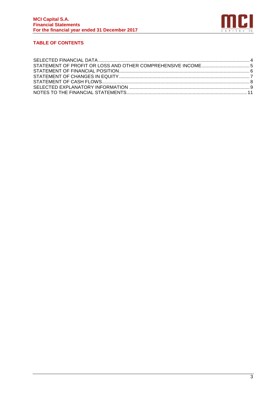

# **TABLE OF CONTENTS**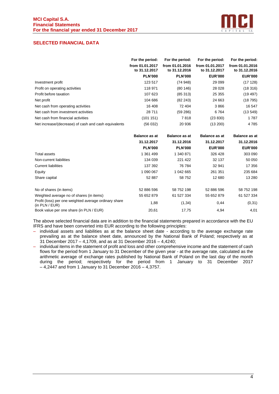

# <span id="page-3-0"></span>**SELECTED FINANCIAL DATA**

|                                                      | For the period:                  | For the period:                  | For the period:                  | For the period:                  |
|------------------------------------------------------|----------------------------------|----------------------------------|----------------------------------|----------------------------------|
|                                                      | from 01.01.2017<br>to 31.12.2017 | from 01.01.2016<br>to 31.12.2016 | from 01.01.2017<br>to 31.12.2017 | from 01.01.2016<br>to 31.12.2016 |
|                                                      | <b>PLN'000</b>                   | <b>PLN'000</b>                   | <b>EUR'000</b>                   | <b>EUR'000</b>                   |
| Investment profit                                    | 123 517                          | (74948)                          | 29 0 99                          | (17128)                          |
| Profit on operating activities                       | 118 971                          | (80146)                          | 28 0 28                          | (18316)                          |
| Profit before taxation                               | 107 623                          | (85313)                          | 25 355                           | (19.497)                         |
| Net profit                                           | 104 686                          | (82 243)                         | 24 663                           | (18795)                          |
| Net cash from operating activities                   | 16 408                           | 72 404                           | 3866                             | 16 547                           |
| Net cash from investment activities                  | 28 711                           | (59 286)                         | 6764                             | (13549)                          |
| Net cash from financial activities                   | (101151)                         | 7818                             | (23 830)                         | 1787                             |
| Net increase/(decrease) of cash and cash equivalents | (56032)                          | 20 936                           | (13 200)                         | 4 7 8 5                          |

|                                                                            | <b>Balance as at</b> | <b>Balance as at</b> | <b>Balance as at</b> | <b>Balance as at</b> |
|----------------------------------------------------------------------------|----------------------|----------------------|----------------------|----------------------|
|                                                                            | 31.12.2017           | 31.12.2016           | 31.12.2017           | 31.12.2016           |
|                                                                            | <b>PLN'000</b>       | <b>PLN'000</b>       | <b>EUR'000</b>       | <b>EUR'000</b>       |
| Total assets                                                               | 1 361 499            | 1 340 871            | 326 428              | 303 090              |
| Non-current liabilities                                                    | 134 039              | 221 422              | 32 137               | 50 050               |
| <b>Current liabilities</b>                                                 | 137 392              | 76 784               | 32 941               | 17 356               |
| Equity                                                                     | 1 090 067            | 1 042 665            | 261 351              | 235 684              |
| Share capital                                                              | 52 887               | 58 752               | 12 680               | 13 280               |
| No of shares (in items)                                                    | 52 886 596           | 58 752 198           | 52 886 596           | 58 752 198           |
| Weighted average no of shares (in items)                                   | 55 652 879           | 61 527 334           | 55 652 879           | 61 527 334           |
| Profit (loss) per one weighted average ordinary share<br>(in $PLN / EUR$ ) | 1,88                 | (1, 34)              | 0,44                 | (0, 31)              |
| Book value per one share (in PLN / EUR)                                    | 20,61                | 17,75                | 4,94                 | 4,01                 |

The above selected financial data are in addition to the financial statements prepared in accordance with the EU IFRS and have been converted into EUR according to the following principles:

- individual assets and liabilities as at the balance sheet date according to the average exchange rate prevailing as at the balance sheet date, announced by the National Bank of Poland; respectively as at 31 December 2017 – 4,1709, and as at 31 December 2016 – 4,4240;
- individual items in the statement of profit and loss and other comprehensive income and the statement of cash flows for the period from 1 January to 31 December of the given year - at the average rate, calculated as the arithmetic average of exchange rates published by National Bank of Poland on the last day of the month during the period; respectively for the period from 1 January to 31 December 2017 – 4,2447 and from 1 January to 31 December 2016 – 4,3757.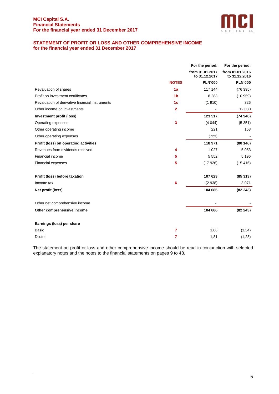

# <span id="page-4-0"></span>**STATEMENT OF PROFIT OR LOSS AND OTHER COMPREHENSIVE INCOME for the financial year ended 31 December 2017**

|                                                 |                         | For the period:                  | For the period:                  |
|-------------------------------------------------|-------------------------|----------------------------------|----------------------------------|
|                                                 |                         | from 01.01.2017<br>to 31.12.2017 | from 01.01.2016<br>to 31.12.2016 |
|                                                 | <b>NOTES</b>            | <b>PLN'000</b>                   | <b>PLN'000</b>                   |
| Revaluation of shares                           | 1a                      | 117 144                          | (76395)                          |
| Profit on investment certificates               | 1 <sub>b</sub>          | 8 2 8 3                          | (10959)                          |
| Revaluation of derivative financial instruments | 1 <sub>c</sub>          | (1910)                           | 326                              |
| Other income on investments                     | $\overline{\mathbf{2}}$ |                                  | 12 080                           |
| Investment profit (loss)                        |                         | 123 517                          | (74948)                          |
| Operating expenses                              | 3                       | (4044)                           | (5351)                           |
| Other operating income                          |                         | 221                              | 153                              |
| Other operating expenses                        |                         | (723)                            |                                  |
| Profit (loss) on operating activities           |                         | 118 971                          | (80146)                          |
| Revenues from dividends received                | 4                       | 1 0 2 7                          | 5 0 5 3                          |
| Financial income                                | 5                       | 5 5 5 2                          | 5 1 9 6                          |
| Financial expenses                              | 5                       | (17926)                          | (15416)                          |
| Profit (loss) before taxation                   |                         | 107 623                          | (85313)                          |
| Income tax                                      | 6                       | (2938)                           | 3 0 7 1                          |
| Net profit (loss)                               |                         | 104 686                          | (82243)                          |
| Other net comprehensive income                  |                         |                                  |                                  |
| Other comprehensive income                      |                         | 104 686                          | (82243)                          |
| Earnings (loss) per share                       |                         |                                  |                                  |
| <b>Basic</b>                                    | $\overline{7}$          | 1,88                             | (1, 34)                          |
| <b>Diluted</b>                                  | $\overline{7}$          | 1,81                             | (1, 23)                          |

The statement on profit or loss and other comprehensive income should be read in conjunction with selected explanatory notes and the notes to the financial statements on pages 9 to 48.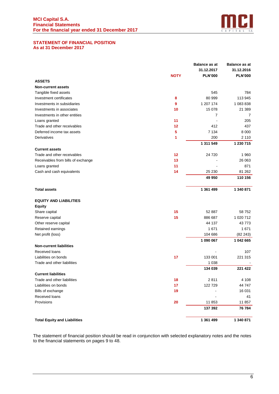

# <span id="page-5-0"></span>**STATEMENT OF FINANCIAL POSITION As at 31 December 2017**

|                                     |             | <b>Balance as at</b> | <b>Balance as at</b> |
|-------------------------------------|-------------|----------------------|----------------------|
|                                     |             | 31.12.2017           | 31.12.2016           |
|                                     | <b>NOTY</b> | <b>PLN'000</b>       | <b>PLN'000</b>       |
| <b>ASSETS</b>                       |             |                      |                      |
| <b>Non-current assets</b>           |             |                      |                      |
| Tangible fixed assets               |             | 545                  | 784                  |
| Investment certificates             | 8           | 80 999               | 113 945              |
| Investments in subsidiaries         | 9           | 1 207 174            | 1 083 838            |
| Investments in associates           | 10          | 15 078               | 21 389               |
| Investments in other entities       |             | $\overline{7}$       | 7                    |
| Loans granted                       | 11          |                      | 205                  |
| Trade and other receivables         | 12          | 412                  | 437                  |
| Deferred income tax assets          | 5           | 7 1 3 4              | 8 0 0 0              |
| Derivatives                         | 1           | 200                  | 2 1 1 0              |
|                                     |             | 1 311 549            | 1 230 715            |
| <b>Current assets</b>               |             |                      |                      |
| Trade and other receivables         | 12          | 24 720               | 1 9 6 0              |
| Receivables from bills of exchange  | 13          |                      | 26 063               |
| Loans granted                       | 11          |                      | 871                  |
| Cash and cash equivalents           | 14          | 25 230               | 81 262               |
|                                     |             | 49 950               | 110 156              |
|                                     |             |                      |                      |
| <b>Total assets</b>                 |             | 1 361 499            | 1 340 871            |
| <b>EQUITY AND LIABILITIES</b>       |             |                      |                      |
| <b>Equity</b>                       |             |                      |                      |
| Share capital                       | 15          | 52 887               | 58752                |
| Reserve capital                     | 15          | 886 687              | 1 020 712            |
| Other reserve capital               |             | 44 137               | 43773                |
| Retained earnings                   |             | 1671                 | 1671                 |
| Net profit (loss)                   |             | 104 686              | (82 243)             |
|                                     |             | 1 090 067            | 1 042 665            |
| <b>Non-current liabilities</b>      |             |                      |                      |
| Received loans                      |             |                      | 107                  |
| Liabilities on bonds                | 17          | 133 001              | 221 315              |
| Trade and other liabilities         |             | 1 0 38               |                      |
|                                     |             | 134 039              | 221 422              |
| <b>Current liabilities</b>          |             |                      |                      |
| Trade and other liabilities         | 18          | 2811                 | 4 1 0 8              |
| Liabilities on bonds                | 17          | 122 729              | 44 747               |
| Bills of exchange                   | 19          |                      | 16 031               |
| Received loans                      |             |                      | 41                   |
| Provisions                          | 20          | 11 853               | 11 857               |
|                                     |             | 137 392              | 76 784               |
| <b>Total Equity and Liabilities</b> |             | 1 361 499            | 1 340 871            |

The statement of financial position should be read in conjunction with selected explanatory notes and the notes to the financial statements on pages 9 to 48.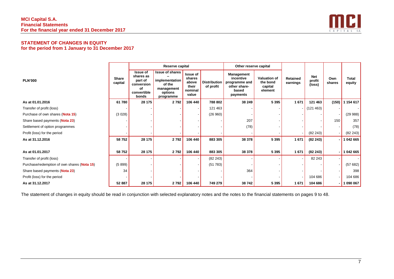# **MCI Capital S.A. Financial Statements For the financial year ended 31 December 2017**



# **STATEMENT OF CHANGES IN EQUITY for the period from 1 January to 31 December 2017**

|                                             |                         |                                                                                     | Reserve capital                                                                          |                                                          |                                  | Other reserve capital                                                         |                                                       |                             |                                |               |                        |
|---------------------------------------------|-------------------------|-------------------------------------------------------------------------------------|------------------------------------------------------------------------------------------|----------------------------------------------------------|----------------------------------|-------------------------------------------------------------------------------|-------------------------------------------------------|-----------------------------|--------------------------------|---------------|------------------------|
| <b>PLN'000</b>                              | <b>Share</b><br>capital | <b>Issue of</b><br>shares as<br>part of<br>conversion<br>οf<br>convertible<br>bonds | <b>Issue of shares</b><br>implementation<br>of the<br>management<br>options<br>programme | Issue of<br>shares<br>above<br>their<br>nominal<br>value | <b>Distribution</b><br>of profit | Management<br>incentive<br>programme and<br>other share-<br>based<br>payments | <b>Valuation of</b><br>the bond<br>capital<br>element | <b>Retained</b><br>earnings | <b>Net</b><br>profit<br>(loss) | Own<br>shares | <b>Total</b><br>equity |
| As at 01.01.2016                            | 61 780                  | 28 175                                                                              | 2792                                                                                     | 106 440                                                  | 788 802                          | 38 249                                                                        | 5 3 9 5                                               | 1671                        | 121 463                        | (150)         | 154 617                |
| Transfer of profit (loss)                   |                         |                                                                                     |                                                                                          |                                                          | 121 463                          |                                                                               |                                                       |                             | (121 463)                      |               |                        |
| Purchase of own shares (Nota 15)            | (3028)                  |                                                                                     |                                                                                          |                                                          | (26960)                          |                                                                               |                                                       |                             |                                |               | (29988)                |
| Share based payments (Nota 23)              |                         |                                                                                     |                                                                                          |                                                          |                                  | 207                                                                           |                                                       |                             |                                | 150           | 357                    |
| Settlement of option programmes             |                         |                                                                                     |                                                                                          |                                                          |                                  | (78)                                                                          |                                                       |                             |                                |               | (78)                   |
| Profit (loss) for the period                |                         |                                                                                     |                                                                                          |                                                          |                                  |                                                                               |                                                       |                             | (82 243)                       |               | (82 243)               |
| As at 31.12.2016                            | 58752                   | 28 175                                                                              | 2792                                                                                     | 106 440                                                  | 883 305                          | 38 378                                                                        | 5 3 9 5                                               | 1671                        | (82 243)                       |               | $-1042665$             |
| As at 01.01.2017                            | 58752                   | 28 175                                                                              | 2792                                                                                     | 106 440                                                  | 883 305                          | 38 378                                                                        | 5 3 9 5                                               | 1 671                       | (82 243)                       |               | 1 042 665              |
| Transfer of profit (loss)                   |                         |                                                                                     |                                                                                          |                                                          | (82 243)                         |                                                                               |                                                       |                             | 82 243                         |               |                        |
| Purchase/redemption of own shares (Nota 15) | (5899)                  |                                                                                     |                                                                                          |                                                          | (51783)                          |                                                                               |                                                       |                             |                                |               | (57682)                |
| Share based payments (Nota 23)              | 34                      |                                                                                     |                                                                                          |                                                          |                                  | 364                                                                           |                                                       |                             |                                |               | 398                    |
| Profit (loss) for the period                |                         |                                                                                     |                                                                                          |                                                          |                                  |                                                                               |                                                       |                             | 104 686                        |               | 104 686                |
| As at 31.12.2017                            | 52 887                  | 28 175                                                                              | 2792                                                                                     | 106 440                                                  | 749 279                          | 38742                                                                         | 5 3 9 5                                               | 1671                        | 104 686                        |               | $-1090067$             |

<span id="page-6-0"></span>The statement of changes in equity should be read in conjunction with selected explanatory notes and the notes to the financial statements on pages 9 to 48.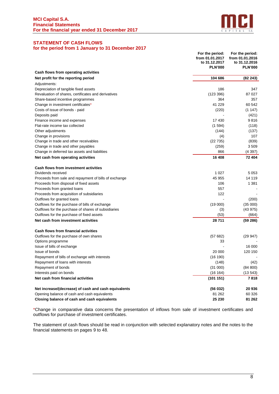

# <span id="page-7-0"></span>**STATEMENT OF CASH FLOWS for the period from 1 January to 31 December 2017**

|                                                       | For the period:<br>from 01.01.2017<br>to 31.12.2017<br><b>PLN'000</b> | For the period:<br>from 01.01.2016<br>to 31.12.2016<br><b>PLN'000</b> |
|-------------------------------------------------------|-----------------------------------------------------------------------|-----------------------------------------------------------------------|
| Cash flows from operating activities                  |                                                                       |                                                                       |
| Net profit for the reporting period                   | 104 686                                                               | (82 243)                                                              |
| Adjustments:                                          |                                                                       |                                                                       |
| Depreciation of tangible fixed assets                 | 186                                                                   | 347                                                                   |
| Revaluation of shares, certificates and derivatives   | (123 396)                                                             | 87 027                                                                |
| Share-based incentive programmes                      | 364                                                                   | 357                                                                   |
| Change in investment certificates*                    | 41 229                                                                | 60 542                                                                |
| Costs of issue of bonds - paid                        | (220)                                                                 | (1147)                                                                |
| Deposits paid                                         |                                                                       | (421)                                                                 |
| Finance income and expenses                           | 17430                                                                 | 9816                                                                  |
| Flat-rate income tax collected                        | (1594)                                                                | (118)                                                                 |
| Other adjustments                                     | (144)                                                                 | (137)                                                                 |
| Change in provisions                                  | (4)                                                                   | 107                                                                   |
| Change in trade and other receivables                 | (22735)                                                               | (839)                                                                 |
| Change in trade and other payables                    | (259)                                                                 | 3509                                                                  |
| Change in deferred tax assets and liabilities         | 866                                                                   | (4397)                                                                |
| Net cash from operating activities                    | 16 408                                                                | 72 404                                                                |
| Cash flows from investment activities                 |                                                                       |                                                                       |
| Dividends received                                    | 1 0 2 7                                                               | 5 0 5 3                                                               |
| Proceeds from sale and repayment of bills of exchange | 45 955                                                                | 14 119                                                                |
| Proceeds from disposal of fixed assets                | 106                                                                   | 1 381                                                                 |
| Proceeds from granted loans                           | 557                                                                   |                                                                       |
| Proceeds from acquisition of subsidiaries             | 122                                                                   |                                                                       |
| Outflows for granted loans                            |                                                                       | (200)                                                                 |
| Outflows for the purchase of bills of exchange        | (19000)                                                               | (35000)                                                               |
| Outflows for the purchase of shares of subsidiaries   | (3)                                                                   | (43975)                                                               |
| Outflows for the purchase of fixed assets             | (53)                                                                  | (664)                                                                 |
| Net cash from investment activities                   | 28 711                                                                | (59 286)                                                              |
| Cash flows from financial activities                  |                                                                       |                                                                       |
| Outflows for the purchase of own shares               | (57682)                                                               | (29947)                                                               |
| Options programme                                     | 33                                                                    |                                                                       |
| Issue of bills of exchange                            |                                                                       | 16 000                                                                |
| Issue of bonds                                        | 20 000                                                                | 120 150                                                               |
| Repayment of bills of exchange with interests         | (16 190)                                                              |                                                                       |
| Repayment of loans with interests                     | (148)                                                                 | (42)                                                                  |
| Repayment of bonds                                    | (31 000)                                                              | (84 800)                                                              |
| Interests paid on bonds                               | (16 164)                                                              | (13543)                                                               |
| Net cash from financial activities                    | (101151)                                                              | 7818                                                                  |
| Net increase/(decrease) of cash and cash equivalents  | (56032)                                                               | 20 936                                                                |
| Opening balance of cash and cash equivalents          | 81 262                                                                | 60 326                                                                |
| Closing balance of cash and cash equivalents          | 25 230                                                                | 81 262                                                                |

\*Change in comparative data concerns the presentation of inflows from sale of investment certificates and outflows for purchase of investment certificates.

The statement of cash flows should be read in conjunction with selected explanatory notes and the notes to the financial statements on pages 9 to 48.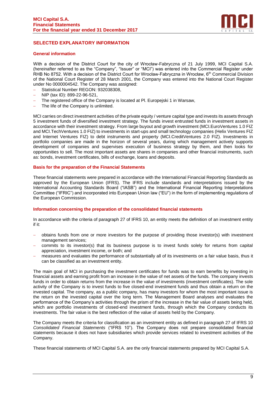

# <span id="page-8-0"></span>**SELECTED EXPLANATORY INFORMATION**

## **General information**

With a decision of the District Court for the city of Wrocław-Fabryczna of 21 July 1999, MCI Capital S.A. (hereinafter referred to as the "Company", "Issuer" or "MCI") was entered into the Commercial Register under RHB No 8752. With a decision of the District Court for Wrocław-Fabryczna in Wrocław, 6<sup>th</sup> Commercial Division of the National Court Register of 28 March 2001, the Company was entered into the National Court Register under No 0000004542. The Company was assigned:

- − Statistical Number REGON: 932038308,
- − NIP (tax ID): 899-22-96-521,
- − The registered office of the Company is located at Pl. Europejski 1 in Warsaw,
- − The life of the Company is unlimited.

MCI carries on direct investment activities of the private equity / venture capital type and invests its assets through 5 investment funds of diversified investment strategy. The funds invest entrusted funds in investment assets in accordance with their investment strategy. From large buyout and growth investment (MCI.EuroVentures 1.0 FIZ and MCI.TechVentures 1.0 FIZ) to investments in start-ups and small technology companies (Helix Ventures FIZ and Internet Ventures FIZ) to debt instruments and property (MCI.CreditVentures 2.0 FIZ). Investments in portfolio companies are made in the horizon of several years, during which management actively supports development of companies and supervises execution of business strategy by them, and then looks for opportunities to sell. The most important assets are shares in companies and other financial instruments, such as: bonds, investment certificates, bills of exchange, loans and deposits.

## **Basis for the preparation of the Financial Statements**

These financial statements were prepared in accordance with the International Financial Reporting Standards as approved by the European Union (IFRS). The IFRS include standards and interpretations issued by the International Accounting Standards Board ("IASB") and the International Financial Reporting Interpretations Committee ("IFRIC") and incorporated into European Union law ("EU") in the form of implementing regulations of the European Commission.

#### **Information concerning the preparation of the consolidated financial statements**

In accordance with the criteria of paragraph 27 of IFRS 10, an entity meets the definition of an investment entity if it:

- − obtains funds from one or more investors for the purpose of providing those investor(s) with investment management services;
- − commits to its investor(s) that its business purpose is to invest funds solely for returns from capital appreciation, investment income, or both; and
- measures and evaluates the performance of substantially all of its investments on a fair value basis, thus it can be classified as an investment entity.

The main goal of MCI in purchasing the investment certificates for funds was to earn benefits by investing in financial assets and earning profit from an increase in the value of net assets of the funds. The company invests funds in order to obtain returns from the increase in the value of investments (investment certificates). The sole activity of the Company is to invest funds to five closed-end investment funds and thus obtain a return on the invested capital. The company, as a public company, has many investors for whom the most important issue is the return on the invested capital over the long term. The Management Board analyses and evaluates the performance of the Company's activities through the prism of the increase in the fair value of assets being held, which are portfolio investments of closed-end investment funds, through which the Company conducts its investments. The fair value is the best reflection of the value of assets held by the Company.

The Company meets the criteria for classification as an investment entity as defined in paragraph 27 of IFRS 10 *Consolidated Financial Statements* ("IFRS 10"). The Company does not prepare consolidated financial statements because it does not have subsidiaries which provide services related to investment activities of the Company.

These financial statements of MCI Capital S.A. are the only financial statements prepared by MCI Capital S.A.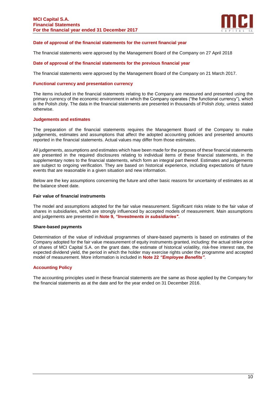

# **Date of approval of the financial statements for the current financial year**

The financial statements were approved by the Management Board of the Company on 27 April 2018

## **Date of approval of the financial statements for the previous financial year**

The financial statements were approved by the Management Board of the Company on 21 March 2017.

## **Functional currency and presentation currency**

The items included in the financial statements relating to the Company are measured and presented using the primary currency of the economic environment in which the Company operates ("the functional currency"), which is the Polish zloty. The data in the financial statements are presented in thousands of Polish zloty, unless stated otherwise.

#### **Judgements and estimates**

The preparation of the financial statements requires the Management Board of the Company to make judgements, estimates and assumptions that affect the adopted accounting policies and presented amounts reported in the financial statements. Actual values may differ from those estimates.

All judgements, assumptions and estimates which have been made for the purposes of these financial statements are presented in the required disclosures relating to individual items of these financial statements, in the supplementary notes to the financial statements, which form an integral part thereof. Estimates and judgements are subject to ongoing verification. They are based on historical experience, including expectations of future events that are reasonable in a given situation and new information.

Below are the key assumptions concerning the future and other basic reasons for uncertainty of estimates as at the balance sheet date.

## **Fair value of financial instruments**

The model and assumptions adopted for the fair value measurement. Significant risks relate to the fair value of shares in subsidiaries, which are strongly influenced by accepted models of measurement. Main assumptions and judgements are presented in **Note 9,** *"Investments in subsidiaries"*.

#### **Share-based payments**

Determination of the value of individual programmes of share-based payments is based on estimates of the Company adopted for the fair value measurement of equity instruments granted, including: the actual strike price of shares of MCI Capital S.A. on the grant date, the estimate of historical volatility, risk-free interest rate, the expected dividend yield, the period in which the holder may exercise rights under the programme and accepted model of measurement. More information is included in **Note 22** *"Employee Benefits"*.

#### **Accounting Policy**

The accounting principles used in these financial statements are the same as those applied by the Company for the financial statements as at the date and for the year ended on 31 December 2016.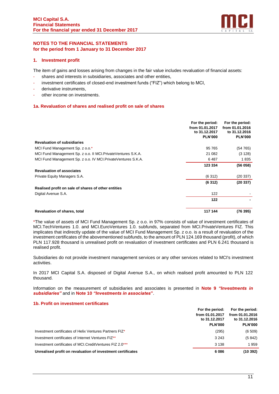

# <span id="page-10-0"></span>**NOTES TO THE FINANCIAL STATEMENTS for the period from 1 January to 31 December 2017**

# **1. Investment profit**

The item of gains and losses arising from changes in the fair value includes revaluation of financial assets:

- shares and interests in subsidiaries, associates and other entities,
- investment certificates of closed-end investment funds ("FIZ") which belong to MCI.
- derivative instruments,
- other income on investments.

# **1a. Revaluation of shares and realised profit on sale of shares**

|                                                                | For the period:<br>from 01.01.2017<br>to 31.12.2017<br><b>PLN'000</b> | For the period:<br>from 01.01.2016<br>to 31.12.2016<br><b>PLN'000</b> |
|----------------------------------------------------------------|-----------------------------------------------------------------------|-----------------------------------------------------------------------|
| <b>Revaluation of subsidiaries</b>                             |                                                                       |                                                                       |
| MCI Fund Management Sp. z o.o.*                                | 95 765                                                                | (54765)                                                               |
| MCI Fund Management Sp. z o.o. II MCI. Private Ventures S.K.A. | 21 082                                                                | (3128)                                                                |
| MCI Fund Management Sp. z o.o. IV MCI. Private Ventures S.K.A. | 6487                                                                  | 1835                                                                  |
|                                                                | 123 334                                                               | (56058)                                                               |
| <b>Revaluation of associates</b>                               |                                                                       |                                                                       |
| Private Equity Managers S.A.                                   | (6312)                                                                | (20 337)                                                              |
|                                                                | (6312)                                                                | (20337)                                                               |
| Realised profit on sale of shares of other entities            |                                                                       |                                                                       |
| Digital Avenue S.A.                                            | 122                                                                   |                                                                       |
|                                                                | 122                                                                   |                                                                       |
| <b>Revaluation of shares, total</b>                            | 117 144                                                               | (76 395)                                                              |

\*The value of assets of MCI Fund Management Sp. z o.o. in 97% consists of value of investment certificates of MCI.TechVentures 1.0. and MCI.EuroVentures 1.0. subfunds, separated from MCI.PrivateVentures FIZ. This implicates that indirectly update of the value of MCI Fund Management Sp. z o.o. is a result of revaluation of the investment certificates of the abovementioned subfunds, to the amount of PLN 124.169 thousand (profit), of which PLN 117.928 thousand is unrealised profit on revaluation of investment certificates and PLN 6.241 thousand is realised profit.

Subsidiaries do not provide investment management services or any other services related to MCI's investment activities.

In 2017 MCI Capital S.A. disposed of Digital Avenue S.A., on which realised profit amounted to PLN 122 thousand.

Information on the measurement of subsidiaries and associates is presented in **Note 9** *"Investments in subsidiaries"* and in **Note 10** *"Investments in associates***"**.

# **1b. Profit on investment certificates**

|                                                             | For the period:                  | For the period: |
|-------------------------------------------------------------|----------------------------------|-----------------|
|                                                             | from 01.01.2017<br>to 31.12.2017 | from 01.01.2016 |
|                                                             |                                  |                 |
|                                                             | <b>PLN'000</b>                   | <b>PLN'000</b>  |
| Investment certificates of Helix Ventures Partners FIZ*     | (295)                            | (6509)          |
| Investment certificates of Internet Ventures FIZ**          | 3 2 4 3                          | (5842)          |
| Investment certificates of MCI.CreditVentures FIZ 2.0***    | 3 1 3 8                          | 1 959           |
| Unrealised profit on revaluation of investment certificates | 6086                             | (10392)         |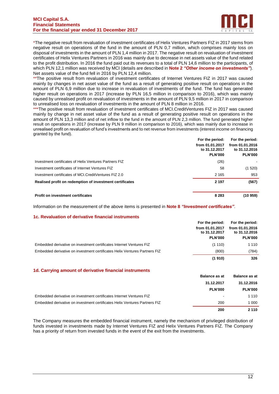

\*The negative result from revaluation of investment certificates of Helix Ventures Partners FIZ in 2017 stems from negative result on operations of the fund in the amount of PLN 0,7 million, which comprises mainly loss on disposal of investments in the amount of PLN 1,4 million in 2017. The negative result on revaluation of investment certificates of Helix Ventures Partners in 2016 was mainly due to decrease in net assets value of the fund related to the profit distribution. In 2016 the fund paid out its revenues to a total of PLN 14,6 million to the participants, of which PLN 12,1 million was received by MCI (details are described in **Note 2** *"Other income on investments"*). Net assets value of the fund fell in 2016 by PLN 12,4 million.

\*\*The positive result from revaluation of investment certificates of Internet Ventures FIZ in 2017 was caused mainly by changes in net asset value of the fund as a result of generating positive result on operations in the amount of PLN 6,9 million due to increase in revaluation of investments of the fund. The fund has generated higher result on operations in 2017 (increase by PLN 16,5 million in comparison to 2016), which was mainly caused by unrealised profit on revaluation of investments in the amount of PLN 9,5 million in 2017 in comparison to unrealised loss on revaluation of investments in the amount of PLN 8 million in 2016.

\*\*\*The positive result from revaluation of investment certificates of MCI.CreditVentures FIZ in 2017 was caused mainly by change in net asset value of the fund as a result of generating positive result on operations in the amount of PLN 13,3 million and of net inflow to the fund in the amount of PLN 2,3 million. The fund generated higher result on operations in 2017 (increase by PLN 9 million in comparison to 2016), which was mainly due to increase in unrealised profit on revaluation of fund's investments and to net revenue from investments (interest income on financing granted by the fund).

|                                                          | For the period: | For the period: |
|----------------------------------------------------------|-----------------|-----------------|
|                                                          | from 01.01.2017 | from 01.01.2016 |
|                                                          | to 31.12.2017   | to 31.12.2016   |
|                                                          | <b>PLN'000</b>  | <b>PLN'000</b>  |
| Investment certificates of Helix Ventures Partners FIZ   | (26)            |                 |
| Investment certificates of Internet Ventures FIZ         | 58              | (1520)          |
| Investment certificates of MCI.CreditVentures FIZ 2.0    | 2 1 6 5         | 953             |
| Realised profit on redemption of investment certificates | 2 1 9 7         | (567)           |
|                                                          |                 |                 |
| <b>Profit on investment certificates</b>                 | 8 2 8 3         | (10959)         |

Information on the measurement of the above items is presented in **Note 8** *"Investment certificates"*.

# **1c. Revaluation of derivative financial instruments**

|                                                                            | For the period:                  | For the period:                  |
|----------------------------------------------------------------------------|----------------------------------|----------------------------------|
|                                                                            | from 01.01.2017<br>to 31.12.2017 | from 01.01.2016<br>to 31.12.2016 |
|                                                                            | <b>PLN'000</b>                   | <b>PLN'000</b>                   |
| Embedded derivative on investment certificates Internet Ventures FIZ       | (1110)                           | 1 1 1 0                          |
| Embedded derivative on investment certificates Helix Ventures Partners FIZ | (800)                            | (784)                            |
|                                                                            | (1910)                           | 326                              |

#### **1d. Carrying amount of derivative financial instruments**

|                                                                            | <b>Balance as at</b>         | <b>Balance as at</b> |
|----------------------------------------------------------------------------|------------------------------|----------------------|
|                                                                            | 31.12.2017                   | 31.12.2016           |
|                                                                            | <b>PLN'000</b>               | <b>PLN'000</b>       |
| Embedded derivative on investment certificates Internet Ventures FIZ       | $\qquad \qquad \blacksquare$ | 1 1 1 0              |
| Embedded derivative on investment certificates Helix Ventures Partners FIZ | 200                          | 1 000                |
|                                                                            | 200                          | 2 1 1 0              |

The Company measures the embedded financial instrument, namely the mechanism of privileged distribution of funds invested in investments made by Internet Ventures FIZ and Helix Ventures Partners FIZ. The Company has a priority of return from invested funds in the event of the exit from the investments.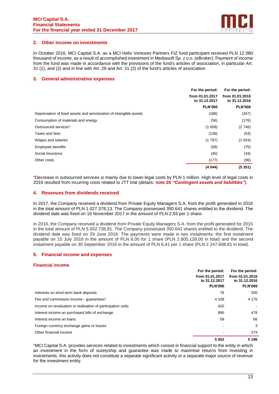

# **2. Other income on investments**

In October 2016, MCI Capital S.A. as a MCI Helix Ventures Partners FIZ fund participant received PLN 12.080 thousand of income, as a result of accomplished investment in Mediasoft Sp. z o.o. (eBroker). Payment of income from the fund was made in accordance with the provisions of the fund's articles of association, in particular Art. 31 (1), and (2) and in line with Art. 29 and Art. 31 (3) of the fund's articles of association.

# **3. General administrative expenses**

|                                                                    | For the period:                  | For the period:                  |
|--------------------------------------------------------------------|----------------------------------|----------------------------------|
|                                                                    | from 01.01.2017<br>to 31.12.2017 | from 01.01.2016<br>to 31.12.2016 |
|                                                                    | <b>PLN'000</b>                   | <b>PLN'000</b>                   |
| Depreciation of fixed assets and amortization of intangible assets | (186)                            | (347)                            |
| Consumption of materials and energy                                | (56)                             | (176)                            |
| Outsourced services*                                               | (1609)                           | (2746)                           |
| Taxes and fees                                                     | (126)                            | (53)                             |
| Wages and salaries                                                 | (1787)                           | (1824)                           |
| Employee benefits                                                  | (58)                             | (75)                             |
| Social insurance                                                   | (45)                             | (34)                             |
| Other costs                                                        | (177)                            | (96)                             |
|                                                                    | (4044)                           | (5351)                           |

\*Decrease in outsourced services is mainly due to lower legal costs by PLN 1 million. High level of legal costs in 2016 resulted from incurring costs related to JTT trial (details: **note 26** *"Contingent assets and liabilities"*).

# **4. Revenues from dividends received**

In 2017, the Company received a dividend from Private Equity Managers S.A. from the profit generated in 2016 in the total amount of PLN 1.027.378,13. The Company possessed 350.641 shares entitled to the dividend. The dividend date was fixed on 16 November 2017 in the amount of PLN 2,93 per 1 share.

In 2016, the Company received a dividend from Private Equity Managers S.A. from the profit generated for 2015 in the total amount of PLN 5.052.736,81. The Company possessed 350.641 shares entitled to the dividend. The dividend date was fixed on 29 June 2016. The payments were made in two instalments: the first instalment payable on 15 July 2016 in the amount of PLN 8,00 for 1 share (PLN 2.805.128,00 in total) and the second instalment payable on 30 September 2016 in the amount of PLN 6,41 per 1 share (PLN 2.247.608,81 in total).

# **5. Financial income and expenses**

# **Financial income**

|                                                             | For the period:                  | For the period:                  |
|-------------------------------------------------------------|----------------------------------|----------------------------------|
|                                                             | from 01.01.2017<br>to 31.12.2017 | from 01.01.2016<br>to 31.12.2016 |
|                                                             | <b>PLN'000</b>                   | <b>PLN'000</b>                   |
| Interests on short-term bank deposits                       | 76                               | 200                              |
| Fee and commission income - quarantees*                     | 4 1 0 8                          | 4 1 7 5                          |
| Income on revaluation or realisation of participation units | 420                              | $\blacksquare$                   |
| Interest income on purchased bills of exchange              | 890                              | 478                              |
| Interest income on loans                                    | 58                               | 66                               |
| Foreign currency exchange gains or losses                   |                                  | 3                                |
| Other financial income                                      |                                  | 274                              |
|                                                             | 5 5 5 2                          | 5 1 9 6                          |

\*MCI Capital S.A. provides services related to investments which consist in financial support to the entity in which an investment in the form of suretyship and guarantee was made to maximise returns from investing in investments, this activity does not constitute a separate significant activity or a separate major source of revenue for the investment entity.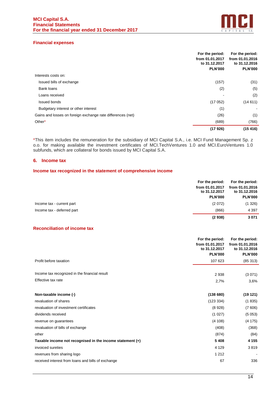

# **Financial expenses**

|                                                             | For the period:<br>from 01.01.2017 | For the period:<br>from 01.01.2016 |
|-------------------------------------------------------------|------------------------------------|------------------------------------|
|                                                             | to 31.12.2017                      | to 31,12,2016                      |
|                                                             | <b>PLN'000</b>                     | <b>PLN'000</b>                     |
| Interests costs on:                                         |                                    |                                    |
| Issued bills of exchange                                    | (157)                              | (31)                               |
| <b>Bank loans</b>                                           | (2)                                | (5)                                |
| Loans received                                              |                                    | (2)                                |
| Issued bonds                                                | (17052)                            | (14611)                            |
| Budgetary interest or other interest                        | (1)                                |                                    |
| Gains and losses on foreign exchange rate differences (net) | (26)                               | (1)                                |
| Other*                                                      | (689)                              | (766)                              |
|                                                             | (17926)                            | (15416)                            |

\*This item includes the remuneration for the subsidiary of MCI Capital S.A., i.e. MCI Fund Management Sp. z o.o. for making available the investment certificates of MCI.TechVentures 1.0 and MCI.EuroVentures 1.0 subfunds, which are collateral for bonds issued by MCI Capital S.A.

## **6. Income tax**

#### **Income tax recognized in the statement of comprehensive income**

| For the period:<br>from 01.01.2017<br>to 31.12.2017<br><b>PLN'000</b> |                 | For the period:<br>from 01.01.2016<br>to 31.12.2016<br><b>PLN'000</b> |
|-----------------------------------------------------------------------|-----------------|-----------------------------------------------------------------------|
| Income tax - current part                                             | (2072)          | (1326)                                                                |
| Income tax - deferred part                                            | (866)<br>(2938) | 4 3 9 7<br>3071                                                       |

# **Reconciliation of income tax**

|                                                                     | For the period:<br>from 01.01.2017<br>to 31.12.2017<br><b>PLN'000</b> | For the period:<br>from 01.01.2016<br>to 31.12.2016<br><b>PLN'000</b> |
|---------------------------------------------------------------------|-----------------------------------------------------------------------|-----------------------------------------------------------------------|
| Profit before taxation                                              | 107 623                                                               | (85313)                                                               |
| Income tax recognized in the financial result<br>Effective tax rate | 2938<br>2,7%                                                          | (3071)<br>3,6%                                                        |
| Non-taxable income (-)                                              | (138680)                                                              | (19121)                                                               |
| revaluation of shares                                               | (123 334)                                                             | (1835)                                                                |
| revaluation of investment certificates                              | (8928)                                                                | (7606)                                                                |
| dividends received                                                  | (1027)                                                                | (5053)                                                                |
| revenue on guarantees                                               | (4108)                                                                | (4175)                                                                |
| revaluation of bills of exchange                                    | (408)                                                                 | (368)                                                                 |
| other                                                               | (874)                                                                 | (84)                                                                  |
| Taxable income not recognised in the income statement $(+)$         | 5408                                                                  | 4 1 5 5                                                               |
| invoiced sureties                                                   | 4 1 2 9                                                               | 3819                                                                  |
| revenues from sharing logo                                          | 1 2 1 2                                                               |                                                                       |
| received interest from loans and bills of exchange                  | 67                                                                    | 336                                                                   |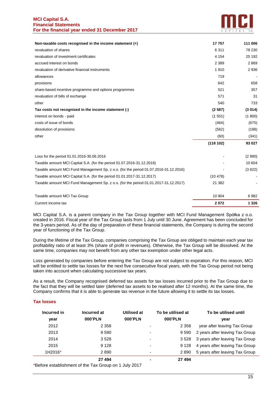

| Non-taxable costs recognised in the income statement $(+)$                           | 17757    | 111 006 |
|--------------------------------------------------------------------------------------|----------|---------|
| revaluation of shares                                                                | 6 3 1 1  | 78 230  |
| revaluation of investment certificates                                               | 4 1 5 4  | 25 192  |
| accrued interest on bonds                                                            | 2 3 8 9  | 2869    |
| revaluation of derivative financial instruments                                      | 1910     | 2936    |
| allowances                                                                           | 719      |         |
| provisions                                                                           | 642      | 658     |
| share-based incentive programme and options programmes                               | 521      | 357     |
| revaluation of bills of exchange                                                     | 571      | 31      |
| other                                                                                | 540      | 733     |
| Tax costs not recognised in the income statement (-)                                 | (2587)   | (3014)  |
| interest on bonds - paid                                                             | (1501)   | (1800)  |
| costs of issue of bonds                                                              | (464)    | (675)   |
| dissolution of provisions                                                            | (562)    | (198)   |
| other                                                                                | (60)     | (341)   |
|                                                                                      | (118102) | 93 027  |
| Loss for the period 01.01.2016-30.06.2016                                            |          | (2890)  |
| Taxable amount MCI Capital S.A. (for the period 01.07.2016-31.12.2016)               |          | 10 604  |
| Taxable amount MCI Fund Management Sp. z o.o. (for the period 01.07.2016-31.12.2016) |          | (3622)  |
| Taxable amount MCI Capital S.A. (for the period 01.01.2017-31.12.2017)               | (10478)  |         |
| Taxable amount MCI Fund Management Sp. z o.o. (for the period 01.01.2017-31.12.2017) | 21 382   |         |
| Taxable amount MCI Tax Group                                                         | 10 904   | 6982    |
| Current income tax                                                                   | 2072     | 1 3 2 6 |

MCI Capital S.A. is a parent company in the Tax Group together with MCI Fund Management Spółka z o.o. created in 2016. Fiscal year of the Tax Group lasts from 1 July until 30 June. Agreement has been concluded for the 3-years period. As of the day of preparation of these financial statements, the Company is during the second year of functioning of the Tax Group.

During the lifetime of the Tax Group, companies comprising the Tax Group are obliged to maintain each year tax profitability ratio of at least 3% (share of profit in revenues). Otherwise, the Tax Group will be dissolved. At the same time, companies may not benefit from any other tax exemption under other legal acts.

Loss generated by companies before entering the Tax Group are not subject to expiration. For this reason, MCI will be entitled to settle tax losses for the next five consecutive fiscal years, with the Tas Group period not being taken into account when calculating successive tax years.

As a result, the Company recognised deferred tax assets for tax losses incurred prior to the Tax Group due to the fact that they will be settled later (deferred tax assets to be realised after 12 months). At the same time, the Company confirms that it is able to generate tax revenue in the future allowing it to settle its tax losses.

# **Tax losses**

| Incurred in | Incurred at | Utilised at    | To be utilised at | To be utilised until            |
|-------------|-------------|----------------|-------------------|---------------------------------|
| year        | 000'PLN     | 000'PLN        | 000'PLN           | vear                            |
| 2012        | 2 3 5 8     | ٠              | 2 3 5 8           | year after leaving Tax Group    |
| 2013        | 9 5 9 0     | ٠              | 9 590             | 2 years after leaving Tax Group |
| 2014        | 3528        | ۰              | 3 5 2 8           | 3 years after leaving Tax Group |
| 2015        | 9 1 2 8     | ٠              | 9 1 2 8           | 4 years after leaving Tax Group |
| 1H2016*     | 2890        | ٠              | 2890              | 5 years after leaving Tax Group |
|             | 27 494      | $\blacksquare$ | 27 494            |                                 |

\*Before establishment of the Tax Group on 1 July 2017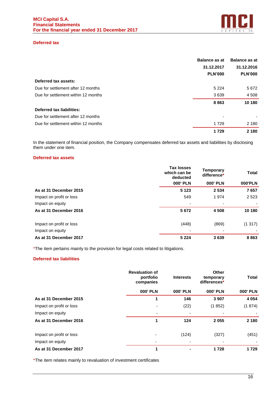

# **Deferred tax**

|                                     | <b>Balance as at</b> | <b>Balance as at</b> |
|-------------------------------------|----------------------|----------------------|
|                                     | 31.12.2017           | 31.12.2016           |
|                                     | <b>PLN'000</b>       | <b>PLN'000</b>       |
| Deferred tax assets:                |                      |                      |
| Due for settlement after 12 months  | 5 2 2 4              | 5672                 |
| Due for settlement within 12 months | 3639                 | 4 5 0 8              |
|                                     | 8863                 | 10 180               |
| Deferred tax liabilities:           |                      |                      |
| Due for settlement after 12 months  | ۰                    |                      |
| Due for settlement within 12 months | 1729                 | 2 1 8 0              |
|                                     | 1729                 | 2 1 8 0              |

In the statement of financial position, the Company compensates deferred tax assets and liabilities by disclosing them under one item.

# **Deferred tax assets**

|                          | <b>Tax losses</b><br>which can be<br>deducted | Temporary<br>difference* | <b>Total</b> |
|--------------------------|-----------------------------------------------|--------------------------|--------------|
|                          | <b>000' PLN</b>                               | <b>000' PLN</b>          | 000'PLN      |
| As at 31 December 2015   | 5 1 2 3                                       | 2 5 3 4                  | 7657         |
| Impact on profit or loss | 549                                           | 1974                     | 2 5 2 3      |
| Impact on equity         |                                               |                          |              |
| As at 31 December 2016   | 5672                                          | 4508                     | 10 180       |
| Impact on profit or loss | (448)                                         | (869)                    | (1317)       |
| Impact on equity         |                                               |                          |              |
| As at 31 December 2017   | 5 2 2 4                                       | 3639                     | 8863         |

\*The item pertains mainly to the provision for legal costs related to litigations.

# **Deferred tax liabilities**

|                          | <b>Revaluation of</b><br>portfolio<br>companies | <b>Interests</b> | Other<br>temporary<br>differences* | <b>Total</b>    |
|--------------------------|-------------------------------------------------|------------------|------------------------------------|-----------------|
|                          | <b>000' PLN</b>                                 | <b>000' PLN</b>  | <b>000' PLN</b>                    | <b>000' PLN</b> |
| As at 31 December 2015   | 1                                               | 146              | 3 9 0 7                            | 4 0 5 4         |
| Impact on profit or loss |                                                 | (22)             | (1852)                             | (1874)          |
| Impact on equity         |                                                 |                  |                                    |                 |
| As at 31 December 2016   | 1                                               | 124              | 2055                               | 2 1 8 0         |
| Impact on profit or loss | ٠                                               | (124)            | (327)                              | (451)           |
| Impact on equity         | $\overline{\phantom{a}}$                        |                  |                                    |                 |
| As at 31 December 2017   | 1                                               |                  | 1728                               | 1729            |

\*The item relates mainly to revaluation of investment certificates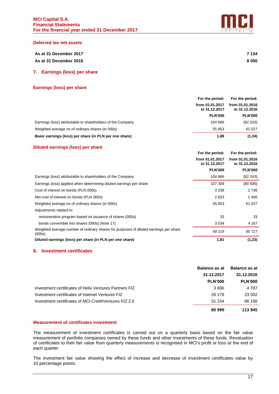

#### **Deferred tax net assets**

| As at 31 December 2017 | 7 1 3 4 |
|------------------------|---------|
| As at 31 December 2016 | 8 0 0 0 |

# **7. Earnings (loss) per share**

## **Earnings (loss) per share**

|                                                             | For the period:                  |                |
|-------------------------------------------------------------|----------------------------------|----------------|
|                                                             | from 01.01.2017<br>to 31.12.2017 |                |
|                                                             | <b>PLN'000</b>                   | <b>PLN'000</b> |
| Earnings (loss) attributable to shareholders of the Company | 104 686                          | (82 243)       |
| Weighted average no of ordinary shares (in 000s)            | 55 653                           | 61 527         |
| Basic earnings (loss) per share (in PLN per one share)      | 1,88                             | (1, 34)        |

## **Diluted earnings (loss) per share**

|                                                                                                 | For the period:                  | For the period:                  |
|-------------------------------------------------------------------------------------------------|----------------------------------|----------------------------------|
|                                                                                                 | from 01.01.2017<br>to 31.12.2017 | from 01.01.2016<br>to 31.12.2016 |
|                                                                                                 | <b>PLN'000</b>                   | <b>PLN'000</b>                   |
| Earnings (loss) attributable to shareholders of the Company                                     | 104 686                          | (82 243)                         |
| Earnings (loss) applied when determining diluted earnings per share                             | 107 309                          | (80 836)                         |
| Cost of interest on bonds (PLN 000s)                                                            | 3 2 3 8                          | 1 736                            |
| Net cost of interest on bonds (PLN 000s)                                                        | 2623                             | 1406                             |
| Weighted average no of ordinary shares (in 000s)                                                | 55 653                           | 61 527                           |
| Adjustments related to:                                                                         |                                  |                                  |
| remuneration program based on issuance of shares (000s)                                         | 33                               | 33                               |
| bonds convertible into shares (000s) (Note 17)                                                  | 3 5 3 4                          | 4 167                            |
| Weighted average number of ordinary shares for purposes of diluted earnings per share<br>(000s) | 59 219                           | 65 727                           |
| Diluted earnings (loss) per share (in PLN per one share)                                        | 1,81                             | (1, 23)                          |

# **8. Investment certificates**

|                                                         | <b>Balance as at</b> | <b>Balance as at</b> |
|---------------------------------------------------------|----------------------|----------------------|
|                                                         | 31.12.2017           | 31.12.2016           |
|                                                         | <b>PLN'000</b>       | <b>PLN'000</b>       |
| Investment certificates of Helix Ventures Partners FIZ  | 3666                 | 4 7 8 7              |
| Investment certificates of Internet Ventures FIZ        | 26 179               | 23 002               |
| Investment certificates of MCI. Credit Ventures FIZ 2.0 | 51 154               | 86 156               |
|                                                         | 80 999               | 113 945              |

#### **Measurement of certificates investment**

The measurement of investment certificates is carried out on a quarterly basis based on the fair value measurement of portfolio companies owned by these funds and other investments of these funds. Revaluation of certificates to their fair value from quarterly measurements is recognised in MCI's profit or loss at the end of each quarter.

The investment fair value showing the effect of increase and decrease of investment certificates value by 10 percentage points: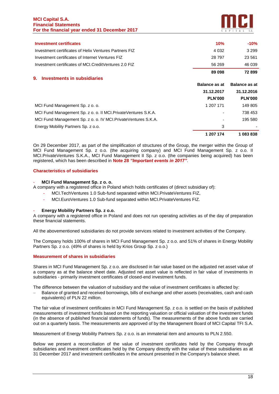## **MCI Capital S.A. Financial Statements For the financial year ended 31 December 2017**



| <b>Investment certificates</b>                                  | 10%                  | $-10%$               |
|-----------------------------------------------------------------|----------------------|----------------------|
| Investment certificates of Helix Ventures Partners FIZ          | 4 0 3 2              | 3 2 9 9              |
| Investment certificates of Internet Ventures FIZ                | 28 797               | 23 5 61              |
| Investment certificates of MCI.CreditVentures 2.0 FIZ           | 56 269               | 46 039               |
|                                                                 | 89 098               | 72899                |
| <b>Investments in subsidiaries</b><br>9.                        |                      |                      |
|                                                                 | <b>Balance as at</b> | <b>Balance as at</b> |
|                                                                 | 31.12.2017           | 31.12.2016           |
|                                                                 | <b>PLN'000</b>       | <b>PLN'000</b>       |
| MCI Fund Management Sp. z o. o.                                 | 1 207 171            | 149 805              |
| MCI Fund Management Sp. z o. o. II MCI. Private Ventures S.K.A. |                      | 738 453              |
| MCI Fund Management Sp. z o. o. IV MCI. Private Ventures S.K.A. |                      | 195 580              |
| Energy Mobility Partners Sp. z o.o.                             | 3                    |                      |
|                                                                 | 1 207 174            | 1083838              |

On 29 December 2017, as part of the simplification of structures of the Group, the merger within the Group of MCI Fund Management Sp. z o.o. (the acquiring company) and MCI Fund Management Sp. z o.o. II MCI.PrivateVentures S.K.A., MCI Fund Management II Sp. z o.o. (the companies being acquired) has been registered, which has been described in **Note 28** *"Important events in 2017"*.

# **Characteristics of subsidiaries**

# - **MCI Fund Management Sp. z o. o.**

A company with a registered office in Poland which holds certificates of (direct subsidiary of):

- MCI.TechVentures 1.0 Sub-fund separated within MCI.PrivateVentures FIZ.
- MCI.EuroVentures 1.0 Sub-fund separated within MCI.PrivateVentures FIZ.

# - **Energy Mobility Partners Sp. z o.o.**

A company with a registered office in Poland and does not run operating activities as of the day of preparation these financial statements.

All the abovementioned subsidiaries do not provide services related to investment activities of the Company.

The Company holds 100% of shares in MCI Fund Management Sp. z o.o. and 51% of shares in Energy Mobility Partners Sp. z o.o. (49% of shares is held by Krios Group Sp. z o.o.)

# **Measurement of shares in subsidiaries**

Shares in MCI Fund Management Sp. z o.o. are disclosed in fair value based on the adjusted net asset value of a company as at the balance sheet date. Adjusted net asset value is reflected in fair value of investments in subsidiaries - primarily investment certificates of closed-end investment funds.

The difference between the valuation of subsidiary and the value of investment certificates is affected by:

− Balance of granted and received borrowings, bills of exchange and other assets (receivables, cash and cash equivalents) of PLN 22 million.

The fair value of investment certificates in MCI Fund Management Sp. z o.o. is settled on the basis of published measurements of investment funds based on the reporting valuation or official valuation of the investment funds (in the absence of published financial statements of funds). The measurements of the above funds are carried out on a quarterly basis. The measurements are approved of by the Management Board of MCI Capital TFI S.A.

Measurement of Energy Mobility Partners Sp. z o.o. is an immaterial item and amounts to PLN 2.550.

Below we present a reconciliation of the value of investment certificates held by the Company through subsidiaries and investment certificates held by the Company directly with the value of these subsidiaries as at 31 December 2017 and investment certificates in the amount presented in the Company's balance sheet.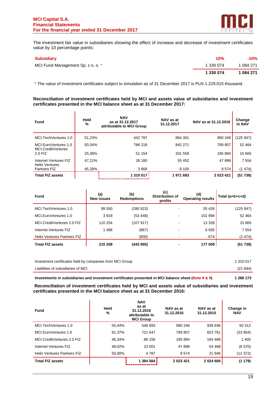$\mathbf{r}$ 



ï

The investment fair value in subsidiaries showing the effect of increase and decrease of investment certificates value by 10 percentage points:

| <b>Subsidiary</b>                 | 10%       | $-10%$    |
|-----------------------------------|-----------|-----------|
| MCI Fund Management Sp. z o. o. * | 1 330 074 | 1 084 271 |
|                                   | 1 330 074 | 1 084 271 |

\* The value of investment certificates subject to simulation as of 31 December 2017 is PLN 1.229.015 thousand.

## **Reconciliation of investment certificates held by MCI and assets value of subsidiaries and investment certificates presented in the MCI balance sheet as at 31 December 2017:**

| <b>Fund</b>                                    | Held<br>% | <b>NAV</b><br>as at 31.12.2017<br>attributable to MCI Group | NAV as at<br>31.12.2017 | NAV as at 31.12.2016 | Change<br>in NAV |
|------------------------------------------------|-----------|-------------------------------------------------------------|-------------------------|----------------------|------------------|
| MCI.TechVentures 1.0                           | 51.23%    | 442 797                                                     | 864 301                 | 990 248              | (125 947)        |
| MCI.EuroVentures 1.0<br>MCI.CreditVentures     | 93,34%    | 786 218                                                     | 842 271                 | 789 807              | 52 4 64          |
| 2.0 FIZ                                        | 25,38%    | 51 154                                                      | 201 559                 | 185 894              | 15 665           |
| Internet Ventures FIZ<br><b>Helix Ventures</b> | 47.21%    | 26 180                                                      | 55 452                  | 47898                | 7 5 5 4          |
| Partners FIZ                                   | 45,28%    | 3668                                                        | 8 100                   | 9574                 | (1474)           |
| <b>Total FIZ assets</b>                        |           | 1 310 017                                                   | 1971683                 | 2 023 421            | (51738)          |

| <b>Fund</b>                        | (a)<br>New issues | (b)<br><b>Redemptions</b> | (c)<br><b>Distribution of</b><br>profits | (d)<br><b>Operating results</b> | Total $(a+b+c+d)$ |
|------------------------------------|-------------------|---------------------------|------------------------------------------|---------------------------------|-------------------|
| MCI.TechVentures 1.0               | 99 550            | (280 923)                 |                                          | 55 4 26                         | (125947)          |
| MCI.EuroVentures 1.0               | 3918              | (53, 448)                 |                                          | 101 994                         | 52 4 64           |
| MCI.CreditVentures 2.0 FIZ         | 110 254           | (107 917)                 |                                          | 13 3 28                         | 15 665            |
| Internet Ventures FIZ              | 1486              | (867)                     |                                          | 6935                            | 7 5 5 4           |
| <b>Helix Ventures Partners FIZ</b> |                   | (800)                     |                                          | $-674$                          | (1474)            |
| <b>Total FIZ assets</b>            | 215 208           | (443 955)                 | -                                        | 177 009                         | (51 738)          |

| Investment certificates held by companies from MCI Group | 1 310 017 |
|----------------------------------------------------------|-----------|
| Liabilities of subsidiaries of MCI                       | (21844)   |
|                                                          |           |

**Investments in subsidiaries and investment certificates presented in MCI balance sheet (Note 8 & 9) 1 288 173**

**Reconciliation of investment certificates held by MCI and assets value of subsidiaries and investment certificates presented in the MCI balance sheet as at 31 December 2016:**

| Fund                               | Held<br>% | <b>NAV</b><br>as at<br>31.12.2016<br>attributable to<br><b>MCI Group</b> | NAV as at<br>31.12.2016 | NAV as at<br>31.12.2015 | Change in<br><b>NAV</b> |
|------------------------------------|-----------|--------------------------------------------------------------------------|-------------------------|-------------------------|-------------------------|
| MCI.TechVentures 1.0               | 55.44%    | 548 993                                                                  | 990 248                 | 939 936                 | 50 312                  |
| MCI.EuroVentures 1.0               | 91.37%    | 721 647                                                                  | 789 807                 | 823761                  | (33954)                 |
| MCI.CreditVentures 2.0 FIZ         | 46.34%    | 86 156                                                                   | 185 894                 | 184 489                 | 1 4 0 5                 |
| Internet Ventures FIZ              | 48.02%    | 23 001                                                                   | 47898                   | 54 468                  | (6570)                  |
| <b>Helix Ventures Partners FIZ</b> | 50.00%    | 4 7 8 7                                                                  | 9574                    | 21 946                  | (12372)                 |
| <b>Total FIZ assets</b>            |           | 1 384 584                                                                | 2 023 421               | 2 0 2 4 6 0 0           | (1179)                  |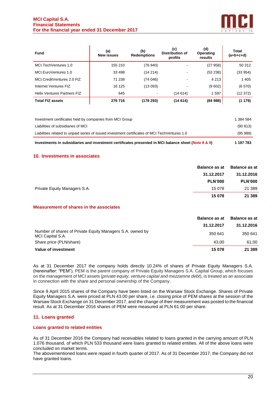

| <b>Fund</b>                        | (a)<br><b>New issues</b> | (b)<br><b>Redemptions</b> | (c)<br><b>Distribution of</b><br>profits | (d)<br>Operating<br>results | Total<br>$(a+b+c+d)$ |
|------------------------------------|--------------------------|---------------------------|------------------------------------------|-----------------------------|----------------------|
| MCI.TechVentures 1.0               | 155 210                  | (76 940)                  | ٠                                        | (27958)                     | 50 312               |
| MCI.EuroVentures 1.0               | 33 4 98                  | (14214)                   | ٠                                        | (53 238)                    | (33 954)             |
| MCI.CreditVentures 2.0 FIZ         | 71 238                   | (74046)                   | ٠                                        | 4 2 1 3                     | 1 4 0 5              |
| Internet Ventures FIZ              | 16 125                   | (13093)                   | ٠                                        | (9 602)                     | (6570)               |
| <b>Helix Ventures Partners FIZ</b> | 645                      | $\overline{\phantom{a}}$  | (14 614)                                 | 1597                        | (12 372)             |
| <b>Total FIZ assets</b>            | 276 716                  | (178293)                  | (14614)                                  | (84988)                     | (1179)               |

| Investments in subsidiaries and investment certificates presented in MCI balance sheet (Note 8 & 9) | 1 197 783 |
|-----------------------------------------------------------------------------------------------------|-----------|
| Liabilities related to unpaid series of issued investment certificates of MCI. Tech Ventures 1.0    | (95, 989) |
| Liabilities of subsidiaries of MCI                                                                  | (90813)   |
| Investment certificates held by companies from MCI Group                                            | 1 384 584 |

# **10. Investments in associates**

|                              | <b>Balance as at</b> | <b>Balance as at</b> |
|------------------------------|----------------------|----------------------|
|                              | 31.12.2017           | 31.12.2016           |
|                              | <b>PLN'000</b>       | <b>PLN'000</b>       |
| Private Equity Managers S.A. | 15 078               | 21 389               |
|                              | 15 078               | 21 3 8 9             |

# **Measurement of shares in the associates**

|                                                                               | <b>Balance as at</b> | <b>Balance as at</b> |
|-------------------------------------------------------------------------------|----------------------|----------------------|
|                                                                               | 31.12.2017           | 31.12.2016           |
| Number of shares of Private Equity Managers S.A. owned by<br>MCI Capital S.A. | 350 641              | 350 641              |
| Share price (PLN/share)                                                       | 43.00                | 61.00                |
| Value of investment                                                           | 15 078               | 21 3 8 9             |

As at 31 December 2017 the company holds directly 10.24% of shares of Private Equity Managers S.A. (hereinafter: "PEM"). PEM is the parent company of Private Equity Managers S.A. Capital Group, which focuses on the management of MCI assets (*private equity, venture capital and mezzanine debt*), is treated as an associate in connection with the share and personal ownership of the Company.

Since 9 April 2015 shares of the Company have been listed on the Warsaw Stock Exchange. Shares of Private Equity Managers S.A. were priced at PLN 43.00 per share, i.e. closing price of PEM shares at the session of the Warsaw Stock Exchange on 31 December 2017, and the change of their measurement was posted to the financial result. As at 31 December 2016 shares of PEM were measured at PLN 61.00 per share.

# **11. Loans granted**

#### **Loans granted to related entities**

As of 31 December 2016 the Company had receivables related to loans granted in the carrying amount of PLN 1.076 thousand, of which PLN 533 thousand were loans granted to related entities. All of the above loans were concluded on market terms.

The abovementioned loans were repaid in fourth quarter of 2017. As of 31 December 2017, the Company did not have granted loans.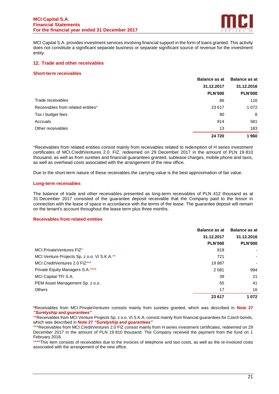

MCI Capital S.A. provides investment services involving financial support in the form of loans granted. This activity does not constitute a significant separate business or separate significant source of revenue for the investment entity.

# **12. Trade and other receivables**

## **Short-term receivables**

|                                    | <b>Balance as at</b> | <b>Balance as at</b> |
|------------------------------------|----------------------|----------------------|
|                                    | 31.12.2017           | 31.12.2016           |
|                                    | <b>PLN'000</b>       | <b>PLN'000</b>       |
| Trade receivables                  | 86                   | 116                  |
| Receivables from related entities* | 23 617               | 1 0 7 2              |
| Tax / budget fees                  | 90                   | 8                    |
| Accruals                           | 914                  | 581                  |
| Other receivables                  | 13                   | 183                  |
|                                    | 24 7 20              | 1960                 |

\*Receivables from related entities consist mainly from receivables related to redemption of H series investment certificates of MCI.CreditVentures 2.0. FIZ, redeemed on 29 December 2017 in the amount of PLN 19 810 thousand, as well as from sureties and financial guarantees granted, sublease charges, mobile phone and taxis, as well as overhead costs associated with the arrangement of the new office.

Due to the short-term nature of these receivables the carrying value is the best approximation of fair value.

## **Long-term receivables**

The balance of trade and other receivables presented as long-term receivables of PLN 412 thousand as at 31 December 2017 consisted of the guarantee deposit receivable that the Company paid to the lessor in connection with the lease of space in accordance with the terms of the lease. The guarantee deposit will remain on the tenant's account throughout the lease term plus three months.

#### **Receivables from related entities**

|                                             | <b>Balance as at</b> | <b>Balance as at</b> |
|---------------------------------------------|----------------------|----------------------|
|                                             | 31.12.2017           | 31.12.2016           |
|                                             | <b>PLN'000</b>       | <b>PLN'000</b>       |
| MCI.PrivateVentures FIZ*                    | 818                  | ٠                    |
| MCI Venture Projects Sp. z o.o. VI S.K.A.** | 721                  | ۰                    |
| MCI.CreditVentures 2.0 FIZ***               | 19887                | ٠                    |
| Private Equity Managers S.A.****            | 2081                 | 994                  |
| MCI Capital TFI S.A.                        | 39                   | 21                   |
| PEM Asset Management Sp. z o.o.             | 55                   | 41                   |
| <b>Others</b>                               | 17                   | 16                   |
|                                             | 23 617               | 1072                 |

**<sup>\*</sup>**Receivables from MCI.PrivateVentures consists mainly from sureties granted, which was described in **Note 27**  *"Suretyship and guarantees"*

<sup>\*\*</sup>Receivables from MCI Venture Projects Sp. z o.o. VI S.K.A. consist mainly from financial guarantees for Czech bonds, which was described in **Note 27** *"Suretyship and guarantees"*

<sup>\*\*\*</sup>Receivables from MCI.CreditVentures 2.0 FIZ consist mainly from H series investment certificates, redeemed on 29 December 2017 in the amount of PLN 19 810 thousand. The Company received the payment from the fund on 1 February 2018.

<sup>\*\*\*\*</sup>This item consists of receivables due to the invoices of telephone and taxi costs, as well as the re-invoiced costs associated with the arrangement of the new office.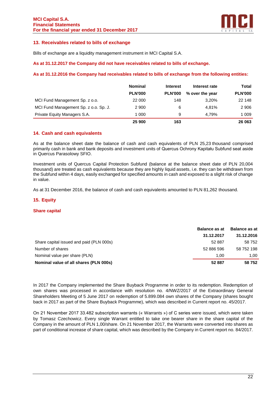

# **13. Receivables related to bills of exchange**

Bills of exchange are a liquidity management instrument in MCI Capital S.A.

## **As at 31.12.2017 the Company did not have receivables related to bills of exchange.**

# **As at 31.12.2016 the Company had receivables related to bills of exchange from the following entities:**

|                                       | <b>Nominal</b> | <b>Interest</b> | Interest rate   | Total          |
|---------------------------------------|----------------|-----------------|-----------------|----------------|
|                                       | <b>PLN'000</b> | <b>PLN'000</b>  | % over the year | <b>PLN'000</b> |
| MCI Fund Management Sp. z o.o.        | 22 000         | 148             | 3.20%           | 22 148         |
| MCI Fund Management Sp. z o.o. Sp. J. | 2 9 0 0        | 6               | 4.81%           | 2 9 0 6        |
| Private Equity Managers S.A.          | 1 000          | 9               | 4.79%           | 1 0 0 9        |
|                                       | 25 900         | 163             |                 | 26 063         |

# **14. Cash and cash equivalents**

As at the balance sheet date the balance of cash and cash equivalents of PLN 25,23 thousand comprised primarily cash in bank and bank deposits and investment units of Quercus Ochrony Kapitału Subfund seat aside in Quercus Parasolowy SFIO.

Investment units of Quercus Capital Protection Subfund (balance at the balance sheet date of PLN 20,004 thousand) are treated as cash equivalents because they are highly liquid assets, i.e. they can be withdrawn from the Subfund within 4 days, easily exchanged for specified amounts in cash and exposed to a slight risk of change in value.

As at 31 December 2016, the balance of cash and cash equivalents amounted to PLN 81,262 thousand.

# **15. Equity**

#### **Share capital**

|                                          | <b>Balance as at</b> | <b>Balance as at</b> |
|------------------------------------------|----------------------|----------------------|
|                                          | 31.12.2017           | 31.12.2016           |
| Share capital issued and paid (PLN 000s) | 52 887               | 58 752               |
| Number of shares                         | 52 886 596           | 58 752 198           |
| Nominal value per share (PLN)            | 1.00                 | 1.00                 |
| Nominal value of all shares (PLN 000s)   | 52 887               | 58752                |

In 2017 the Company implemented the Share Buyback Programme in order to its redemption. Redemption of own shares was processed in accordance with resolution no. 4/NWZ/2017 of the Extraordinary General Shareholders Meeting of 5 June 2017 on redemption of 5.899.084 own shares of the Company (shares bought back in 2017 as part of the Share Buyback Programme), which was described in Current report no. 45/2017.

On 21 November 2017 33.482 subscription warrants (« Warrants ») of C series were issued, which were taken by Tomasz Czechowicz. Every single Warrant entitled to take one bearer share in the share capital of the Company in the amount of PLN 1,00/share. On 21 November 2017, the Warrants were converted into shares as part of conditional increase of share capital, which was described by the Company in Current report no. 84/2017.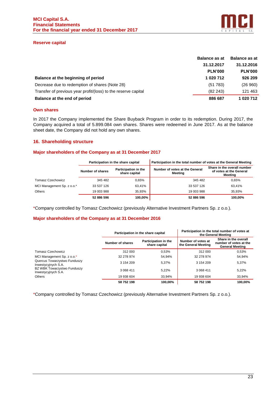

# **Reserve capital**

|                                                                | <b>Balance as at</b> | <b>Balance as at</b> |
|----------------------------------------------------------------|----------------------|----------------------|
|                                                                | 31.12.2017           | 31.12.2016           |
|                                                                | <b>PLN'000</b>       | <b>PLN'000</b>       |
| Balance at the beginning of period                             | 1 020 712            | 926 209              |
| Decrease due to redemption of shares (Note 28)                 | (51 783)             | (26960)              |
| Transfer of previous year profit/(loss) to the reserve capital | (82 243)             | 121 463              |
| Balance at the end of period                                   | 886 687              | 1 020 712            |

# **Own shares**

In 2017 the Company implemented the Share Buyback Program in order to its redemption. During 2017, the Company acquired a total of 5.899.084 own shares. Shares were redeemed in June 2017. As at the balance sheet date, the Company did not hold any own shares.

# **16. Shareholding structure**

# **Major shareholders of the Company as at 31 December 2017**

|                            | Participation in the share capital |                                       | Participation in the total number of votes at the General Meeting |                                                                   |  |
|----------------------------|------------------------------------|---------------------------------------|-------------------------------------------------------------------|-------------------------------------------------------------------|--|
|                            | Number of shares                   | Participation in the<br>share capital | Number of votes at the General<br>Meeting                         | Share in the overall number<br>of votes at the General<br>Meetina |  |
| Tomasz Czechowicz          | 345 482                            | 0.65%                                 | 345 482                                                           | 0.65%                                                             |  |
| MCI Management Sp. z o.o.* | 33 537 126                         | 63.41%                                | 33 537 126                                                        | 63.41%                                                            |  |
| <b>Others</b>              | 19 003 988                         | 35.93%                                | 19 003 988                                                        | 35.93%                                                            |  |
|                            | 52 886 596                         | 100.00%                               | 52 886 596                                                        | 100.00%                                                           |  |

\*Company controlled by Tomasz Czechowicz (previously Alternative Investment Partners Sp. z o.o.).

# **Major shareholders of the Company as at 31 December 2016**

|                                                                                   |                  | Participation in the share capital    |                                           | Participation in the total number of votes at<br>the General Meeting     |
|-----------------------------------------------------------------------------------|------------------|---------------------------------------|-------------------------------------------|--------------------------------------------------------------------------|
|                                                                                   | Number of shares | Participation in the<br>share capital | Number of votes at<br>the General Meeting | Share in the overall<br>number of votes at the<br><b>General Meeting</b> |
| <b>Tomasz Czechowicz</b>                                                          | 312 000          | 0.53%                                 | 312 000                                   | 0,53%                                                                    |
| MCI Management Sp. z o.o.*<br>Quercus Towarzystwo Funduszy<br>Inwestycyjnych S.A. | 32 278 974       | 54,94%                                | 32 278 974                                | 54,94%                                                                   |
|                                                                                   | 3 154 209        | 5,37%                                 | 3 154 209                                 | 5.37%                                                                    |
| BZ WBK Towarzystwo Funduszy<br>Inwestycyjnych S.A.                                | 3 068 411        | 5,22%                                 | 3 068 411                                 | 5,22%                                                                    |
| <b>Others</b>                                                                     | 19 938 604       | 33,94%                                | 19 938 604                                | 33,94%                                                                   |
|                                                                                   | 58 752 198       | 100,00%                               | 58 752 198                                | 100.00%                                                                  |

\*Company controlled by Tomasz Czechowicz (previously Alternative Investment Partners Sp. z o.o.).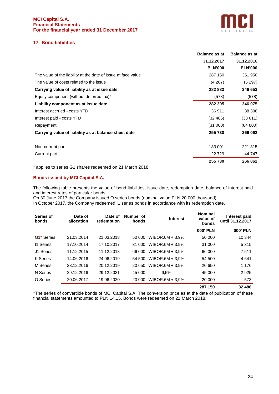

# **17. Bond liabilities**

|                                                               | <b>Balance as at</b> | <b>Balance as at</b> |
|---------------------------------------------------------------|----------------------|----------------------|
|                                                               | 31.12.2017           | 31.12.2016           |
|                                                               | <b>PLN'000</b>       | <b>PLN'000</b>       |
| The value of the liability at the date of issue at face value | 287 150              | 351 950              |
| The value of costs related to the issue                       | (4267)               | (5297)               |
| Carrying value of liability as at issue date                  | 282 883              | 346 653              |
| Equity component (without deferred tax)*                      | (578)                | (578)                |
| Liability component as at issue date                          | 282 305              | 346 075              |
| Interest accrued - costs YTD                                  | 36 911               | 38 398               |
| Interest paid - costs YTD                                     | (32, 486)            | (33611)              |
| Repayment                                                     | (31 000)             | (84 800)             |
| Carrying value of liability as at balance sheet date          | 255 730              | 266 062              |
| Non-current part:                                             | 133 001              | 221 315              |
| Current part:                                                 | 122729               | 44 747               |
|                                                               | 255 730              | 266 062              |

\* applies to series G1 shares redeemed on 21 March 2018

# **Bonds issued by MCI Capital S.A.**

The following table presents the value of bond liabilities, issue date, redemption date, balance of interest paid and interest rates of particular bonds.

On 30 June 2017 the Company issued O series bonds (nominal value PLN 20 000 thousand). In October 2017, the Company redeemed I1 series bonds in accordance with its redemption date.

| Series of<br>bonds | Date of<br>allocation | Date of<br>redemption | Number of<br>bonds | <b>Interest</b>    | <b>Nominal</b><br>value of<br>bonds | Interest paid<br>until 31.12.2017 |
|--------------------|-----------------------|-----------------------|--------------------|--------------------|-------------------------------------|-----------------------------------|
|                    |                       |                       |                    |                    | <b>000' PLN</b>                     | <b>000' PLN</b>                   |
| G1* Series         | 21.03.2014            | 21.03.2018            | 50 000             | WIBOR.6M + $3.9\%$ | 50 000                              | 10 344                            |
| 11 Series          | 17.10.2014            | 17.10.2017            | 31 000             | WIBOR.6M + $3.9\%$ | 31 000                              | 5 3 1 5                           |
| J1 Series          | 11.12.2015            | 11.12.2018            | 66 000             | WIBOR.6M + $3.9\%$ | 66 000                              | 7511                              |
| K Series           | 14.06.2016            | 24.06.2019            | 54 500             | WIBOR.6M + $3.9\%$ | 54 500                              | 4 641                             |
| M Series           | 23.12.2016            | 20.12.2019            | 20 650             | WIBOR.6M + $3.9\%$ | 20 650                              | 1 1 7 6                           |
| N Series           | 29.12.2016            | 29.12.2021            | 45 000             | 6.5%               | 45 000                              | 2925                              |
| O Series           | 20.06.2017            | 19.06.2020            | 20 000             | WIBOR.6M + $3.9\%$ | 20 000                              | 573                               |
|                    |                       |                       |                    |                    | 007150                              | 00100                             |

**287 150 32 486**

\*The series of convertible bonds of MCI Capital S.A. The conversion price as at the date of publication of these financial statements amounted to PLN 14,15. Bonds were redeemed on 21 March 2018.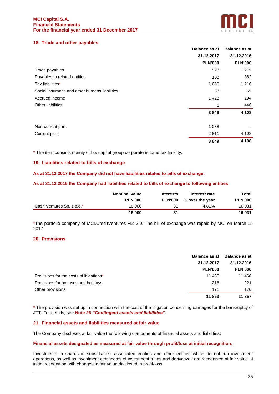

# **18. Trade and other payables**

|                                                | <b>Balance as at</b> | <b>Balance as at</b> |
|------------------------------------------------|----------------------|----------------------|
|                                                | 31.12.2017           | 31.12.2016           |
|                                                | <b>PLN'000</b>       | <b>PLN'000</b>       |
| Trade payables                                 | 528                  | 1 2 1 5              |
| Payables to related entities                   | 158                  | 882                  |
| Tax liabilities*                               | 1696                 | 1 2 1 6              |
| Social insurance and other burdens liabilities | 38                   | 55                   |
| Accrued income                                 | 1428                 | 294                  |
| <b>Other liabilities</b>                       |                      | 446                  |
|                                                | 3849                 | 4 1 0 8              |
| Non-current part:                              | 1 0 3 8              |                      |
| Current part:                                  | 2811                 | 4 1 0 8              |
|                                                | 3849                 | 4 108                |

\* The item consists mainly of tax capital group corporate income tax liability.

# **19. Liabilities related to bills of exchange**

# **As at 31.12.2017 the Company did not have liabilities related to bills of exchange.**

## **As at 31.12.2016 the Company had liabilities related to bills of exchange to following entities:**

|                           | <b>Nominal value</b><br><b>PLN'000</b> | <b>Interests</b><br><b>PLN'000</b> | Interest rate<br>% over the year | Total<br><b>PLN'000</b> |
|---------------------------|----------------------------------------|------------------------------------|----------------------------------|-------------------------|
| Cash Ventures Sp. z o.o.* | 16 000                                 | 31                                 | 4.81%                            | 16 031                  |
|                           | 16 000                                 | 31                                 |                                  | 16 031                  |

\*The portfolio company of MCI.CreditVentures FIZ 2.0. The bill of exchange was repaid by MCI on March 15 2017.

# **20. Provisions**

|                                          | <b>Balance as at</b> | Balance as at  |
|------------------------------------------|----------------------|----------------|
|                                          | 31.12.2017           | 31.12.2016     |
|                                          | <b>PLN'000</b>       | <b>PLN'000</b> |
| Provisions for the costs of litigations* | 11 4 6 6             | 11 466         |
| Provisions for bonuses and holidays      | 216                  | 221            |
| Other provisions                         | 171                  | 170            |
|                                          | 11853                | 11857          |

**\*** The provision was set up in connection with the cost of the litigation concerning damages for the bankruptcy of JTT. For details, see **Note 26** *"Contingent assets and liabilities"*.

# **21. Financial assets and liabilities measured at fair value**

The Company discloses at fair value the following components of financial assets and liabilities:

#### **Financial assets designated as measured at fair value through profit/loss at initial recognition:**

Investments in shares in subsidiaries, associated entities and other entities which do not run investment operations, as well as investment certificates of investment funds and derivatives are recognised at fair value at initial recognition with changes in fair value disclosed in profit/loss.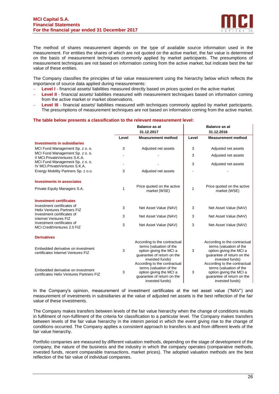

The method of shares measurement depends on the type of available source information used in the measurement. For entities the shares of which are not quoted on the active market, the fair value is determined on the basis of measurement techniques commonly applied by market participants. The presumptions of measurement techniques are not based on information coming from the active market, but indicate best the fair value of these entities.

The Company classifies the principles of fair value measurement using the hierarchy below which reflects the importance of source data applied during measurements:

- **Level I** financial assets/ liabilities measured directly based on prices quoted on the active market.
- **Level II** financial assets/ liabilities measured with measurement techniques based on information coming from the active market or market observations.
- **Level III** financial assets/ liabilities measured with techniques commonly applied by market participants. The presumptions of measurement techniques are not based on information coming from the active market.

# **The table below presents a classification to the relevant measurement level:**

|                                                                               | <b>Balance as at</b> |                                                                                                                                     |       | <b>Balance as at</b>                                                                                                                |
|-------------------------------------------------------------------------------|----------------------|-------------------------------------------------------------------------------------------------------------------------------------|-------|-------------------------------------------------------------------------------------------------------------------------------------|
|                                                                               |                      | 31.12.2017                                                                                                                          |       | 31.12.2016                                                                                                                          |
|                                                                               | Level                | <b>Measurement method</b>                                                                                                           | Level | <b>Measurement method</b>                                                                                                           |
| <b>Investments in subsidiaries</b>                                            |                      |                                                                                                                                     |       |                                                                                                                                     |
| MCI Fund Management Sp. z o. o.                                               | 3                    | Adjusted net assets                                                                                                                 | 3     | Adjusted net assets                                                                                                                 |
| MCI Fund Management Sp. z o. o.<br>II MCI. Private Ventures S.K.A.            |                      |                                                                                                                                     | 3     | Adjusted net assets                                                                                                                 |
| MCI Fund Management Sp. z o. o.<br>IV MCI. Private Ventures S.K.A.            |                      |                                                                                                                                     | 3     | Adjusted net assets                                                                                                                 |
| Energy Mobility Partners Sp. z o.o.                                           | 3                    | Adjusted net assets                                                                                                                 |       |                                                                                                                                     |
| <b>Investments in associates</b>                                              |                      |                                                                                                                                     |       |                                                                                                                                     |
| Private Equity Managers S.A.                                                  | 1                    | Price quoted on the active<br>market (WSE)                                                                                          | 1     | Price quoted on the active<br>market (WSE)                                                                                          |
| <b>Investment certificates</b>                                                |                      |                                                                                                                                     |       |                                                                                                                                     |
| Investment certificates of<br><b>Helix Ventures Partners FIZ</b>              | 3                    | Net Asset Value (NAV)                                                                                                               | 3     | Net Asset Value (NAV)                                                                                                               |
| Investment certificates of<br>Internet Ventures FIZ                           | 3                    | Net Asset Value (NAV)                                                                                                               | 3     | Net Asset Value (NAV)                                                                                                               |
| Investment certificates of<br>MCI.CreditVentures 2.0 FIZ                      | 3                    | Net Asset Value (NAV)                                                                                                               | 3     | Net Asset Value (NAV)                                                                                                               |
| <b>Derivatives</b>                                                            |                      |                                                                                                                                     |       |                                                                                                                                     |
| Embedded derivative on investment<br>certificates Internet Ventures FIZ       | 3                    | According to the contractual<br>terms (valuation of the<br>option giving the MCI a<br>guarantee of return on the<br>invested funds) | 3     | According to the contractual<br>terms (valuation of the<br>option giving the MCI a<br>guarantee of return on the<br>invested funds) |
| Embedded derivative on investment<br>certificates Helix Ventures Partners FIZ | 3                    | According to the contractual<br>terms (valuation of the<br>option giving the MCI a<br>quarantee of return on the<br>invested funds) | 3     | According to the contractual<br>terms (valuation of the<br>option giving the MCI a<br>quarantee of return on the<br>invested funds) |

In the Company's opinion, measurement of investment certificates at the net asset value ("NAV") and measurement of investments in subsidiaries at the value of adjusted net assets is the best reflection of the fair value of these investments.

The Company makes transfers between levels of the fair value hierarchy when the change of conditions results in fulfilment of non-fulfilment of the criteria for classification to a particular level. The Company makes transfers between levels of the fair value hierarchy in the interim period in which the event giving rise to the change of conditions occurred. The Company applies a consistent approach to transfers to and from different levels of the fair value hierarchy.

Portfolio companies are measured by different valuation methods, depending on the stage of development of the company, the nature of the business and the industry in which the company operates (comparative methods, invested funds, recent comparable transactions, market prices). The adopted valuation methods are the best reflection of the fair value of individual companies.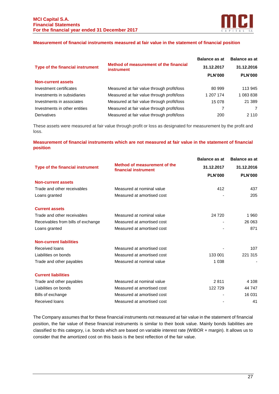

# **Measurement of financial instruments measured at fair value in the statement of financial position**

|                                  |                                                             | <b>Balance as at</b> | <b>Balance as at</b><br>31.12.2016 |  |
|----------------------------------|-------------------------------------------------------------|----------------------|------------------------------------|--|
| Type of the financial instrument | Method of measurement of the financial<br><b>instrument</b> | 31.12.2017           |                                    |  |
|                                  |                                                             | <b>PLN'000</b>       | <b>PLN'000</b>                     |  |
| <b>Non-current assets</b>        |                                                             |                      |                                    |  |
| Investment certificates          | Measured at fair value through profit/loss                  | 80 999               | 113 945                            |  |
| Investments in subsidiaries      | Measured at fair value through profit/loss                  | 1 207 174            | 1 083 838                          |  |
| Investments in associates        | Measured at fair value through profit/loss                  | 15 0 78              | 21 389                             |  |
| Investments in other entities    | Measured at fair value through profit/loss                  |                      | 7                                  |  |
| Derivatives                      | Measured at fair value through profit/loss                  | 200                  | 2 1 1 0                            |  |

These assets were measured at fair value through profit or loss as designated for measurement by the profit and loss.

# **Measurement of financial instruments which are not measured at fair value in the statement of financial position**

|                                    |                                                      | <b>Balance as at</b> | <b>Balance as at</b> |
|------------------------------------|------------------------------------------------------|----------------------|----------------------|
| Type of the financial instrument   | Method of measurement of the<br>financial instrument | 31.12.2017           | 31.12.2016           |
|                                    |                                                      | <b>PLN'000</b>       | <b>PLN'000</b>       |
| <b>Non-current assets</b>          |                                                      |                      |                      |
| Trade and other receivables        | Measured at nominal value                            | 412                  | 437                  |
| Loans granted                      | Measured at amortised cost                           |                      | 205                  |
| <b>Current assets</b>              |                                                      |                      |                      |
| Trade and other receivables        | Measured at nominal value                            | 24 7 20              | 1960                 |
| Receivables from bills of exchange | Measured at amortised cost                           |                      | 26 063               |
| Loans granted                      | Measured at amortised cost                           |                      | 871                  |
| <b>Non-current liabilities</b>     |                                                      |                      |                      |
| Received loans                     | Measured at amortised cost                           |                      | 107                  |
| Liabilities on bonds               | Measured at amortised cost                           | 133 001              | 221 315              |
| Trade and other payables           | Measured at nominal value                            | 1 0 3 8              |                      |
| <b>Current liabilities</b>         |                                                      |                      |                      |
| Trade and other payables           | Measured at nominal value                            | 2811                 | 4 1 0 8              |
| Liabilities on bonds               | Measured at amortised cost                           | 122729               | 44 747               |
| Bills of exchange                  | Measured at amortised cost                           |                      | 16 031               |
| Received loans                     | Measured at amortised cost                           |                      | 41                   |
|                                    |                                                      |                      |                      |

The Company assumes that for these financial instruments not measured at fair value in the statement of financial position, the fair value of these financial instruments is similar to their book value. Mainly bonds liabilities are classified to this category, i.e. bonds which are based on variable interest rate (WIBOR + margin). It allows us to consider that the amortized cost on this basis is the best reflection of the fair value.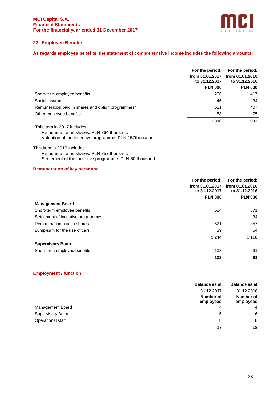

# **22. Employee Benefits**

# **As regards employee benefits, the statement of comprehensive income includes the following amounts:**

|                                                    | For the period:<br>from 01.01.2017<br>to 31.12.2017 | For the period:<br>from 01.01.2016<br>to 31.12.2016 |
|----------------------------------------------------|-----------------------------------------------------|-----------------------------------------------------|
|                                                    | <b>PLN'000</b>                                      | <b>PLN'000</b>                                      |
| Short-term employee benefits                       | 1 2 6 6                                             | 1417                                                |
| Social insurance                                   | 45                                                  | 34                                                  |
| Remuneration paid in shares and option programmes* | 521                                                 | 407                                                 |
| Other employee benefits                            | 58                                                  | 75                                                  |
|                                                    | 1890                                                | 1933                                                |

\*This item in 2017 includes:

− Remuneration in shares: PLN 364 thousand,

− Valuation of the incentive programme: PLN 157thousand.

This item in 2016 includes:

- − Remuneration in shares: PLN 357 thousand,
- − Settlement of the incentive programme: PLN 50 thousand.

# **Remuneration of key personnel**

|                                    | For the period: | For the period: |
|------------------------------------|-----------------|-----------------|
|                                    | from 01.01.2017 | from 01.01.2016 |
|                                    | to 31.12.2017   | to 31,12,2016   |
|                                    | <b>PLN'000</b>  | <b>PLN'000</b>  |
| <b>Management Board</b>            |                 |                 |
| Short-term employee benefits       | 684             | 671             |
| Settlement of incentive programmes |                 | 34              |
| Remuneration paid in shares        | 521             | 357             |
| Lump-sum for the use of cars       | 39              | 54              |
|                                    | 1 2 4 4         | 1 1 1 6         |
| <b>Supervisory Board</b>           |                 |                 |
| Short-term employee benefits       | 103             | 61              |
|                                    | 103             | 61              |

# **Employment / function**

|                          | <b>Balance as at</b>   | <b>Balance as at</b>   |
|--------------------------|------------------------|------------------------|
|                          | 31.12.2017             | 31.12.2016             |
|                          | Number of<br>employees | Number of<br>employees |
| Management Board         | 4                      | $\overline{4}$         |
| <b>Supervisory Board</b> | 5                      | 6                      |
| Operational staff        | 8                      | 8                      |
|                          | 17                     | 18                     |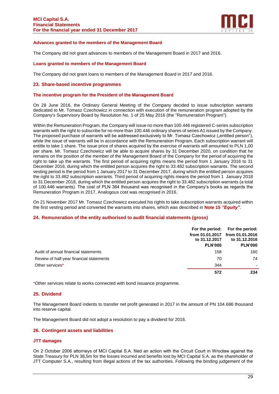

## **Advances granted to the members of the Management Board**

The Company did not grant advances to members of the Management Board in 2017 and 2016.

#### **Loans granted to members of the Management Board**

The Company did not grant loans to members of the Management Board in 2017 and 2016.

#### **23. Share-based incentive programmes**

#### **The incentive program for the President of the Management Board**

On 28 June 2016, the Ordinary General Meeting of the Company decided to issue subscription warrants dedicated to Mr. Tomasz Czechowicz in connection with execution of the remuneration program adopted by the Company's Supervisory Board by Resolution No. 1 of 25 May 2016 (the "Remuneration Program").

Within the Remuneration Program, the Company will issue no more than 100.446 registered C-series subscription warrants with the right to subscribe for no more than 100.446 ordinary shares of series A1 issued by the Company. The proposed purchase of warrants will be addressed exclusively to Mr. Tomasz Czechowicz ("entitled person"), while the issue of warrants will be in accordance with the Remuneration Program. Each subscription warrant will entitle to take 1 share. The issue price of shares acquired by the exercise of warrants will amounted to PLN 1,00 per share. Mr. Tomasz Czechowicz will be able to acquire shares by 31 December 2020, on condition that he remains on the position of the member of the Management Board of the Company for the period of acquiring the right to take up the warrants. The first period of acquiring rights means the period from 1 January 2016 to 31 December 2016, during which the entitled person acquires the right to 33.482 subscription warrants. The second vesting period is the period from 1 January 2017 to 31 December 2017, during which the entitled person acquires the right to 33.482 subscription warrants. Third period of acquiring rights means the period from 1 January 2018 to 31 December 2018, during which the entitled person acquires the right to 33.482 subscription warrants (a total of 100.446 warrants). The cost of PLN 364 thousand was recognised in the Company's books as regards the Remuneration Program in 2017. Analogous cost was recognised in 2016.

On 21 November 2017 Mr. Tomasz Czechowicz executed his rights to take subscription warrants acquired within the first vesting period and converted the warrants into shares, which was described in **Note 15** *"Equity"*.

#### **24. Remuneration of the entity authorised to audit financial statements (gross)**

|                                          | For the period:<br>to 31.12.2017<br><b>PLN'000</b> | For the period:<br>from 01.01.2017 from 01.01.2016<br>to 31.12.2016<br><b>PLN'000</b> |
|------------------------------------------|----------------------------------------------------|---------------------------------------------------------------------------------------|
| Audit of annual financial statements     | 158                                                | 160                                                                                   |
| Review of half-year financial statements | 70                                                 | 74                                                                                    |
| Other services*                          | 344                                                | $\blacksquare$                                                                        |
|                                          | 572                                                | 234                                                                                   |

\*Other services relate to works connected with bond issuance programme.

# **25. Dividend**

The Management Board indents to transfer net profit generated in 2017 in the amount of PN 104.686 thousand into reserve capital.

The Management Board did not adopt a resolution to pay a dividend for 2016.

# **26. Contingent assets and liabilities**

#### **JTT damages**

On 2 October 2006 attorneys of MCI Capital S.A. filed an action with the Circuit Court in Wrocław against the State Treasury for PLN 38,5m for the losses incurred and benefits lost by MCI Capital S.A. as the shareholder of JTT Computer S.A., resulting from illegal actions of the tax authorities. Following the binding judgement of the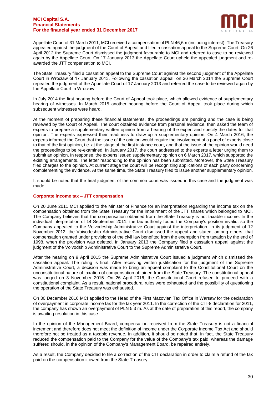

Appellate Court of 31 March 2011, MCI received a compensation of PLN 46,6m (including interest). The Treasury appealed against the judgment of the Court of Appeal and filed a cassation appeal to the Supreme Court. On 26 April 2012 the Supreme Court dismissed the judgment favourable to MCI and referred to case to be reviewed again by the Appellate Court. On 17 January 2013 the Appellate Court upheld the appealed judgment and reawarded the JTT compensation to MCI.

The State Treasury filed a cassation appeal to the Supreme Court against the second judgment of the Appellate Court in Wrocław of 17 January 2013. Following the cassation appeal, on 26 March 2014 the Supreme Court repealed the judgment of the Appellate Court of 17 January 2013 and referred the case to be reviewed again by the Appellate Court in Wrocław.

In July 2014 the first hearing before the Court of Appeal took place, which allowed evidence of supplementary hearing of witnesses. In March 2015 another hearing before the Court of Appeal took place during which subsequent witnesses were heard.

At the moment of preparing these financial statements, the proceedings are pending and the case is being reviewed by the Court of Appeal. The court obtained evidence from personal evidence, then asked the team of experts to prepare a supplementary written opinion from a hearing of the expert and specify the dates for that opinion. The experts expressed their readiness to draw up a supplementary opinion. On 4 March 2016, the experts informed the Court that the issue of the opinion would require the involvement of a panel of experts close to that of the first opinion, i.e. at the stage of the first instance court, and that the issue of the opinion would need the proceedings to be re-examined. In January 2017, the court addressed to the experts a letter urging them to submit an opinion. In response, the experts issued supplementary opinion on 6 March 2017, which supported the existing arrangements. The letter responding to the opinion has been submitted. Moreover, the State Treasury filed charges to the opinion. At current stage the court will be recognizing applications of each party concerning complementing the evidence. At the same time, the State Treasury filed to issue another supplementary opinion.

It should be noted that the final judgment of the common court was issued in this case and the judgment was made.

# **Corporate income tax – JTT compensation**

On 20 June 2011 MCI applied to the Minister of Finance for an interpretation regarding the income tax on the compensation obtained from the State Treasury for the impairment of the JTT shares which belonged to MCI. The Company believes that the compensation obtained from the State Treasury is not taxable income. In the individual interpretation of 14 September 2011, the tax authority found the Company's position invalid, so the Company appealed to the Voivodeship Administrative Court against the interpretation. In its judgment of 12 November 2012, the Voivodeship Administrative Court dismissed the appeal and stated, among others, that compensation granted under provisions of the civil law benefited from the exemption from taxation by the end of 1998, when the provision was deleted. In January 2013 the Company filed a cassation appeal against the judgment of the Voivodship Administrative Court to the Supreme Administrative Court.

After the hearing on 9 April 2015 the Supreme Administrative Court issued a judgment which dismissed the cassation appeal. The ruling is final. After receiving written justification for the judgment of the Supreme Administrative Court, a decision was made to bring an appeal complaint to the Constitutional Court on the unconstitutional nature of taxation of compensation obtained from the State Treasury. The constitutional appeal was lodged on 3 November 2015. On 26 April 2016, the Constitutional Court refused to proceed with a constitutional complaint. As a result, national procedural rules were exhausted and the possibility of questioning the operation of the State Treasury was exhausted.

On 30 December 2016 MCI applied to the Head of the First Mazovian Tax Office in Warsaw for the declaration of overpayment in corporate income tax for the tax year 2011. In the correction of the CIT-8 declaration for 2011, the company has shown an overpayment of PLN 5.3 m. As at the date of preparation of this report, the company is awaiting resolution in this case.

In the opinion of the Management Board, compensation received from the State Treasury is not a financial increment and therefore does not meet the definition of income under the Corporate Income Tax Act and should therefore not be treated as a taxable revenue. In addition, it should be noted that, in fact, the State Treasury reduced the compensation paid to the Company for the value of the Company's tax paid, whereas the damage suffered should, in the opinion of the Company's Management Board, be repaired entirely.

As a result, the Company decided to file a correction of the CIT declaration in order to claim a refund of the tax paid on the compensation it owed from the State Treasury.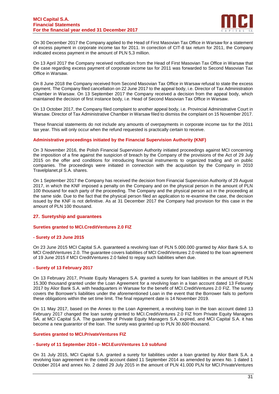

On 30 December 2017 the Company applied to the Head of First Masovian Tax Office in Warsaw for a statement of excess payment in corporate income tax for 2011. In correction of CIT-8 tax return for 2011, the Company indicated excess payment in the amount of PLN 5,3 million.

On 13 April 2017 the Company received notification from the Head of First Masovian Tax Office in Warsaw that the case regarding excess payment of corporate income tax for 2011 was forwarded to Second Masovian Tax Office in Warsaw.

On 8 June 2018 the Company received from Second Masovian Tax Office in Warsaw refusal to state the excess payment. The Company filed cancellation on 22 June 2017 to the appeal body, i.e. Director of Tax Administration Chamber in Warsaw. On 13 September 2017 the Company received a decision from the appeal body, which maintained the decision of first instance body, i.e. Head of Second Masovian Tax Office in Warsaw.

On 13 October 2017, the Company filed complaint to another appeal body, i.e. Provincial Administrative Court in Warsaw. Director of Tax Administrative Chamber in Warsaw filed to dismiss the complaint on 15 November 2017.

These financial statements do not include any amounts of overpayments in corporate income tax for the 2011 tax year. This will only occur when the refund requested is practically certain to receive.

# **Administrative proceedings initiated by the Financial Supervision Authority (KNF)**

On 3 November 2016, the Polish Financial Supervision Authority initiated proceedings against MCI concerning the imposition of a fine against the suspicion of breach by the Company of the provisions of the Act of 29 July 2015 on the offer and conditions for introducing financial instruments to organized trading and on public companies. The proceedings were initiated in connection with the acquisition by the Company in 2010 Travelplanet.pl S.A. shares.

On 1 September 2017 the Company has received the decision from Financial Supervision Authority of 29 August 2017, in which the KNF imposed a penalty on the Company and on the physical person in the amount of PLN 100 thousand for each party of the proceeding. The Company and the physical person act in the proceeding at the same side. Due to the fact that the physical person filed an application to re-examine the case, the decision issued by the KNF is not definitive. As at 31 December 2017 the Company had provision for this case in the amount of PLN 100 thousand.

# **27. Suretyship and guarantees**

# **Sureties granted to MCI.CreditVentures 2.0 FIZ**

# **- Surety of 23 June 2015**

On 23 June 2015 MCI Capital S.A. guaranteed a revolving loan of PLN 5.000.000 granted by Alior Bank S.A. to MCI CreditVentures 2.0. The guarantee covers liabilities of MCI CreditVentures 2.0 related to the loan agreement of 19 June 2015 if MCI CreditVentures 2.0 failed to repay such liabilities when due.

#### **- Surety of 13 February 2017**

On 13 February 2017, Private Equity Managers S.A. granted a surety for loan liabilities in the amount of PLN 15.300 thousand granted under the Loan Agreement for a revolving loan in a loan account dated 13 February 2017 by Alior Bank S.A. with headquarters in Warsaw for the benefit of MCI.CreditVentures 2.0 FIZ. The surety covers the Borrower's liabilities under the aforementioned Loan in the event that the Borrower fails to perform these obligations within the set time limit. The final repayment date is 14 November 2019.

On 11 May 2017, based on the Annex to the Loan Agreement, a revolving loan in the loan account dated 13 February 2017 changed the loan surety granted to MCI.CreditVentures 2.0 FIZ from Private Equity Managers SA. at MCI Capital S.A. The guarantee of Private Equity Managers S.A. expired, and MCI Capital S.A. it has become a new guarantor of the loan. The surety was granted up to PLN 30.600 thousand.

#### **Sureties granted to MCI.PrivateVentures FIZ**

#### **- Surety of 11 September 2014 – MCI.EuroVentures 1.0 subfund**

On 31 July 2015, MCI Capital S.A. granted a surety for liabilities under a loan granted by Alior Bank S.A. a revolving loan agreement in the credit account dated 11 September 2014 as amended by annex No. 1 dated 1 October 2014 and annex No. 2 dated 29 July 2015 in the amount of PLN 41.000 PLN for MCI.PrivateVentures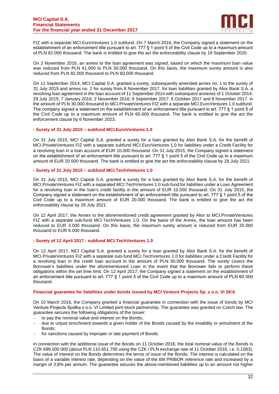

FIZ with a separate MCI.EuroVentures 1.0 subfund. On 7 March 2016, the Company signed a statement on the establishment of an enforcement title pursuant to art. 777 § 1 point 5 of the Civil Code up to a maximum amount of PLN 82.000 thousand. The bank is entitled to give the act the enforceability clause by 19 September 2020.

On 2 November 2016, an annex to the loan agreement was signed, based on which the maximum loan value was reduced from PLN 41.000 to PLN 30.000 thousand. On this basis, the maximum surety amount is also reduced from PLN 82.000 thousand to PLN 60.000 thousand.

On 11 September 2014. MCI Capital S.A. granted a surety, subsequently amended annex no. 1 to the surety of 31 July 2015 and annex no. 2 for surety from 8 November 2017. for loan liabilities granted by Alior Bank S.A. a revolving loan agreement in the loan account of 11 September 2014 with subsequent annexes of 1 October 2014; 29 July 2015; 7 January 2016; 2 November 2016; 8 September 2017; 6 October 2017 and 8 November 2017. in the amount of PLN 30.000 thousand to MCI.PrivateVentures FIZ with a separate MCI.EuroVentures 1.0 subfund. The company signed a statement on the establishment of an enforcement title pursuant to art. 777 § 1 point 5 of the Civil Code up to a maximum amount of PLN 60.000 thousand. The bank is entitled to give the act the enforcement clause by 6 November 2023.

# **- Surety of 31 July 2015 – subfund MCI.EuroVentures 1.0**

On 31 July 2015, MCI Capital S.A. granted a surety for a loan granted by Alior Bank S.A. for the benefit of MCI.PrivateVentures FIZ with a separate subfund MCI.EuroVentures 1.0 for liabilities under a Credit Facility for a revolving loan in a loan account of EUR 10.000 thousand. On 31 July 2015, the Company signed a statement on the establishment of an enforcement title pursuant to art. 777 § 1 point 5 of the Civil Code up to a maximum amount of EUR 20.000 thousand. The bank is entitled to give the act the enforceability clause by 28 July 2021.

## **- Surety of 31 July 2015 – subfund MCI.TechVentures 1.0**

On 31 July 2015, MCI Capital S.A. granted a surety for a loan granted by Alior Bank S.A. for the benefit of MCI.PrivateVentures FIZ with a separated MCI.TechVentures 1.0 sub-fund for liabilities under a Loan Agreement for a revolving loan in the loan's credit facility in the amount of EUR 10.000 thousand. On 31 July 2015, the Company signed a statement on the establishment of an enforcement title pursuant to art. 777 § 1 point 5 of the Civil Code up to a maximum amount of EUR 20.000 thousand. The bank is entitled to give the act the enforceability clause by 28 July 2021.

On 12 April 2017, the Annex to the aforementioned credit agreement granted by Alior to MCI.PrivateVentures FIZ with a separate sub-fund MCI.TechVentures 1.0. On the basis of the Annex, the loan amount has been reduced to EUR 3.000 thousand. On this basis, the maximum surety amount is reduced from EUR 20.000 thousand to EUR 6.000 thousand.

# **- Surety of 12 April 2017 - subfund MCI.TechVentures 1.0**

On 12 April 2017, MCI Capital S.A. granted a surety for a loan granted by Alior Bank S.A. for the benefit of MCI.PrivateVentures FIZ with a separate sub-fund MCI.TechVentures 1.0 for liabilities under a Credit Facility for a revolving loan in the credit loan account in the amount of PLN 30.000 thousand. The surety covers the Borrower's liabilities under the aforementioned Loan in the event that the Borrower fails to perform these obligations within the set time limit. On 12 April 2017, the Company signed a statement on the establishment of an enforcement title pursuant to art. 777 § 1 point 5 of the Civil Code up to a maximum amount of PLN 60.000 thousand.

#### **Financial guarantee for liabilities under bonds issued by MCI Venture Projects Sp. z o.o. VI SKA**

On 10 March 2016, the Company granted a financial guarantee in connection with the issue of bonds by MCI Venture Projects Spółka z o.o. VI Limited joint-stock partnership. The guarantee was granted on Czech law. The guarantee secures the following obligations of the Issuer:

- to pay the nominal value and interest on the Bonds:
- − due to unjust enrichment towards a given holder of the Bonds caused by the invalidity or annulment of the Bonds;
- for sanctions caused by improper or late payment of Bonds.

In connection with the additional issue of the Bonds on 11 October 2016, the total nominal value of the Bonds is CZK 699.000.000 (about PLN 110.651.700 using the CZK / PLN exchange rate of 11 October 2016, i.e. 0,1583). The value of interest on the Bonds determines the terms of issue of the Bonds. The interest is calculated on the basis of a variable interest rate, depending on the value of the 6M PRIBOR reference rate and increased by a margin of 3,8% per annum. The guarantee secures the above-mentioned liabilities up to an amount not higher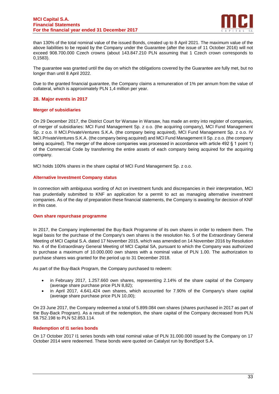

than 130% of the total nominal value of the issued Bonds, created up to 8 April 2021. The maximum value of the above liabilities to be repaid by the Company under the Guarantee (after the issue of 11 October 2016) will not exceed 908.700.000 Czech crowns (about 143.847.210 PLN assuming that 1 Czech crown corresponds to 0,1583).

The guarantee was granted until the day on which the obligations covered by the Guarantee are fully met, but no longer than until 8 April 2022.

Due to the granted financial guarantee, the Company claims a remuneration of 1% per annum from the value of collateral, which is approximately PLN 1,4 million per year.

# **28. Major events in 2017**

## **Merger of subsidiaries**

On 29 December 2017, the District Court for Warsaw in Warsaw, has made an entry into register of companies, of merger of subsidiaries: MCI Fund Management Sp. z o.o. (the acquiring company), MCI Fund Management Sp. z o.o. II MCI.PrivateVentures S.K.A. (the company being acquired), MCI Fund Management Sp. z o.o. IV MCI.PrivateVentures S.K.A. (the company being acquired) and MCI Fund Management II Sp. z o.o. (the company being acquired). The merger of the above companies was processed in accordance with article 492 § 1 point 1) of the Commercial Code by transferring the entire assets of each company being acquired for the acquiring company.

MCI holds 100% shares in the share capital of MCI Fund Management Sp. z o.o.

## **Alternative Investment Company status**

In connection with ambiguous wording of Act on investment funds and discrepancies in their interpretation, MCI has prudentially submitted to KNF an application for a permit to act as managing alternative investment companies. As of the day of preparation these financial statements, the Company is awaiting for decision of KNF in this case.

#### **Own share repurchase programme**

In 2017, the Company implemented the Buy-Back Programme of its own shares in order to redeem them. The legal basis for the purchase of the Company's own shares is the resolution No. 5 of the Extraordinary General Meeting of MCI Capital S.A. dated 17 November 2015, which was amended on 14 November 2016 by Resolution No. 4 of the Extraordinary General Meeting of MCI Capital SA, pursuant to which the Company was authorized to purchase a maximum of 10.000.000 own shares with a nominal value of PLN 1.00. The authorization to purchase shares was granted for the period up to 31 December 2018.

As part of the Buy-Back Program, the Company purchased to redeem:

- in February 2017, 1.257.660 own shares, representing 2.14% of the share capital of the Company (average share purchase price PLN 8,82);
- in April 2017, 4.641.424 own shares, which accounted for 7.90% of the Company's share capital (average share purchase price PLN 10,00);

On 23 June 2017, the Company redeemed a total of 5.899.084 own shares (shares purchased in 2017 as part of the Buy-Back Program). As a result of the redemption, the share capital of the Company decreased from PLN 58.752.198 to PLN 52.853.114.

#### **Redemption of I1 series bonds**

On 17 October 2017 I1 series bonds with total nominal value of PLN 31.000.000 issued by the Company on 17 October 2014 were redeemed. These bonds were quoted on Catalyst run by BondSpot S.A.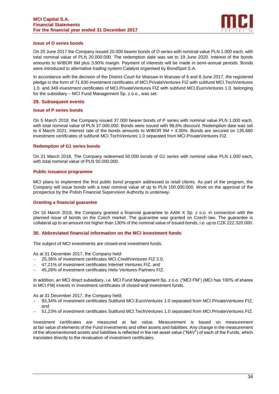

# **Issue of O series bonds**

On 20 June 2017 the Company issued 20.000 bearer bonds of O series with nominal value PLN 1.000 each, with total nominal value of PLN 20.000.000. The redemption date was set to 19 June 2020. Interest of the bonds amounts to WIBOR 6M plus 3.90% margin. Payment of interests will be made in semi-annual periods. Bonds were introduced to alternative trading system Catalyst organised by BondSpot S.A.

In accordance with the decision of the District Court for Warsaw in Warsaw of 6 and 8 June 2017, the registered pledge in the form of 71.630 investment certificates of MCI.PrivateVentures FIZ with subfund MCI.TechVentures 1.0. and 349 investment certificates of MCI.PrivateVentures FIZ with subfund MCI.EuroVentures 1.0. belonging for the subsidiary – MCI Fund Management Sp. z o.o., was set.

## **29. Subsequent events**

#### **Issue of P series bonds**

On 5 March 2018, the Company issued 37.000 bearer bonds of P series with nominal value PLN 1.000 each, with total nominal value of PLN 37.000.000. Bonds were issued with 98,6% discount. Redemption date was set to 4 March 2021. Interest rate of the bonds amounts to WIBOR 6M + 4.00%. Bonds are secured on 135.680 investment certificates of subfund MCI.TechVentures 1.0 separated from MCI.PrivateVentures FIZ.

## **Redemption of G1 series bonds**

On 21 March 2018, The Company redeemed 50.000 bonds of G1 series with nominal value PLN 1.000 each, with total nominal value of PLN 50.000.000.

#### **Public issuance programme**

MCI plans to implement the first public bond program addressed to retail clients. As part of the program, the Company will issue bonds with a total nominal value of up to PLN 150.000.000. Work on the approval of the prospectus by the Polish Financial Supervision Authority is underway.

## **Granting a financial guarantee**

On 16 March 2018, the Company granted a financial guarantee to AAW X Sp. z o.o. in connection with the planned issue of bonds on the Czech market. The guarantee was granted on Czech law. The guarantee is collateral up to an amount not higher than 130% of the nominal value of issued bonds, i.e. up to CZK 222.320.000.

# **30. Abbreviated financial information on the MCI investment funds**

The subject of MCI investments are closed-end investment funds.

As at 31 December 2017, the Company held:

- − 25,38% of investment certificates MCI.CreditVentures FIZ 2.0,
- − 47,21% of investment certificates Internet Ventures FIZ, and
- − 45,28% of investment certificates Helix Ventures Partners FIZ.

In addition, an MCI direct subsidiary, i.e. MCI Fund Management Sp. z o.o. ("MCI FM") (MCI has 100% of shares in MCI FM) invests in investment certificates of closed-end investment funds.

As at 31 December 2017, the Company held:

- 93,34% of investment certificates Subfund MCI.EuroVentures 1.0 separated from MCI.PrivateVentures FIZ, and
- − 51,23% of investment certificates Subfund MCI.TechVentures 1.0 separated from MCI.PrivateVentures FIZ.

Investment certificates are measured at fair value. Measurement is based on measurement at fair value of elements of the Fund investments and other assets and liabilities. Any change in the measurement of the aforementioned assets and liabilities is reflected in the net asset value ("NAV") of each of the Funds, which translates directly to the revaluation of investment certificates.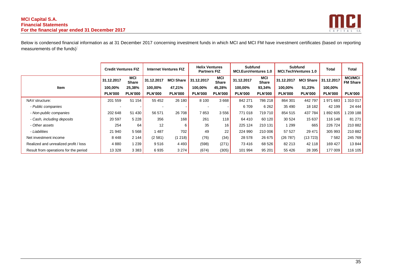

Below is condensed financial information as at 31 December 2017 concerning investment funds in which MCI and MCI FM have investment certificates (based on reporting measurements of the funds):

|                                       | <b>Credit Ventures FIZ</b> |                            | <b>Internet Ventures FIZ</b> |                  | <b>Helix Ventures</b><br><b>Partners FIZ</b> |                            | <b>Subfund</b><br><b>MCI.EuroVentures 1.0</b> |                     | <b>Subfund</b><br><b>MCI.TechVentures 1.0</b> |                  | <b>Total</b>   | Total                             |
|---------------------------------------|----------------------------|----------------------------|------------------------------|------------------|----------------------------------------------|----------------------------|-----------------------------------------------|---------------------|-----------------------------------------------|------------------|----------------|-----------------------------------|
|                                       | 31.12.2017                 | <b>MCI</b><br><b>Share</b> | 31.12.2017                   | <b>MCI Share</b> | 31.12.2017                                   | <b>MCI</b><br><b>Share</b> | 31.12.2017                                    | MCI<br><b>Share</b> | 31.12.2017                                    | <b>MCI Share</b> | 31.12.2017     | <b>MCI/MCI</b><br><b>FM Share</b> |
| <b>Item</b>                           | 100,00%                    | 25,38%                     | 100,00%                      | 47,21%           | 100,00%                                      | 45,28%                     | 100,00%                                       | 93,34%              | 100,00%                                       | 51,23%           | 100,00%        |                                   |
|                                       | <b>PLN'000</b>             | <b>PLN'000</b>             | <b>PLN'000</b>               | <b>PLN'000</b>   | <b>PLN'000</b>                               | <b>PLN'000</b>             | <b>PLN'000</b>                                | <b>PLN'000</b>      | <b>PLN'000</b>                                | <b>PLN'000</b>   | <b>PLN'000</b> | <b>PLN'000</b>                    |
| NAV structure:                        | 201 559                    | 51 154                     | 55 452                       | 26 180           | 8 1 0 0                                      | 3668                       | 842 271                                       | 786 218             | 864 301                                       | 442 797          | 971 683        | 310 017                           |
| - Public companies                    |                            |                            |                              |                  |                                              |                            | 6709                                          | 6 2 6 2             | 35 490                                        | 18 182           | 42 199         | 24 4 44                           |
| - Non-public companies                | 202 648                    | 51 430                     | 56 571                       | 26 708           | 7853                                         | 3556                       | 771 018                                       | 719 710             | 854 515                                       | 437 784          | 892 605        | 239 188                           |
| - Cash, including deposits            | 20 597                     | 5 2 2 8                    | 356                          | 168              | 261                                          | 118                        | 64 410                                        | 60 120              | 30 5 24                                       | 15 637           | 116 148        | 81 271                            |
| - Other assets                        | 254                        | 64                         | 12                           | 6                | 35                                           | 16                         | 225 124                                       | 210 131             | 1 2 9 9                                       | 665              | 226 724        | 210 882                           |
| - Liabilities                         | 21 940                     | 5 5 6 8                    | 1487                         | 702              | 49                                           | 22                         | 224 990                                       | 210 006             | 57 527                                        | 29 471           | 305 993        | 210 882                           |
| Net investment income                 | 8448                       | 2 1 4 4                    | (2581)                       | (1218)           | (76)                                         | (34)                       | 28 578                                        | 26 675              | (26787)                                       | (13723)          | 7582           | 245 769                           |
| Realized and unrealized profit / loss | 4 8 8 0                    | 1 239                      | 9516                         | 4 4 9 3          | (598)                                        | (271)                      | 73 416                                        | 68 526              | 82 213                                        | 42 118           | 169 427        | 13844                             |
| Result from operations for the period | 13 328                     | 3383                       | 6935                         | 3274             | (674)                                        | (305)                      | 101 994                                       | 95 201              | 55 4 26                                       | 28 395           | 177 009        | 116 105                           |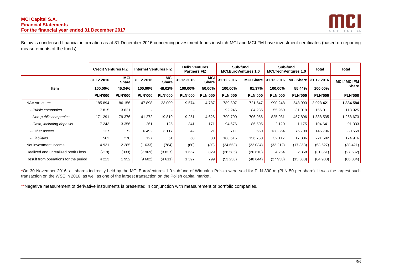

Below is condensed financial information as at 31 December 2016 concerning investment funds in which MCI and MCI FM have investment certificates (based on reporting measurements of the funds):

|                                       | <b>Credit Ventures FIZ</b> |                            | <b>Internet Ventures FIZ</b> |                            | <b>Helix Ventures</b><br><b>Partners FIZ</b> |                            |                | Sub-fund<br>Sub-fund<br><b>MCI.EuroVentures 1.0</b><br><b>MCI.TechVentures 1.0</b> |                      |                      | <b>Total</b>   | Total            |
|---------------------------------------|----------------------------|----------------------------|------------------------------|----------------------------|----------------------------------------------|----------------------------|----------------|------------------------------------------------------------------------------------|----------------------|----------------------|----------------|------------------|
|                                       | 31.12.2016                 | <b>MCI</b><br><b>Share</b> | 31.12.2016                   | <b>MCI</b><br><b>Share</b> | 31.12.2016                                   | <b>MCI</b><br><b>Share</b> | 31.12.2016     |                                                                                    | MCI Share 31.12.2016 | MCI Share 31.12.2016 |                | <b>MCI/MCIFM</b> |
| Item                                  | 100,00%                    | 46,34%                     | 100,00%                      | 48,02%                     | 100,00%                                      | 50,00%                     | 100,00%        | 91,37%                                                                             | 100,00%              | 55,44%               | 100,00%        | <b>Share</b>     |
|                                       | <b>PLN'000</b>             | <b>PLN'000</b>             | <b>PLN'000</b>               | <b>PLN'000</b>             | <b>PLN'000</b>                               | <b>PLN'000</b>             | <b>PLN'000</b> | <b>PLN'000</b>                                                                     | <b>PLN'000</b>       | <b>PLN'000</b>       | <b>PLN'000</b> | <b>PLN'000</b>   |
| NAV structure:                        | 185 894                    | 86 156                     | 47898                        | 23 000                     | 9574                                         | 4 7 8 7                    | 789 807        | 721 647                                                                            | 990 248              | 548 993              | 2 023 421      | 1 384 584        |
| - Public companies                    | 7815                       | 3621                       |                              |                            |                                              |                            | 92 246         | 84 285                                                                             | 55 950               | 31 019               | 156 011        | 118 925          |
| - Non-public companies                | 171 291                    | 79 376                     | 41 272                       | 19819                      | 9 2 5 1                                      | 4 6 2 6                    | 790 790        | 706 956                                                                            | 825 931              | 457 896              | 838 535        | 1 268 673        |
| - Cash, including deposits            | 7 2 4 3                    | 3 3 5 6                    | 261                          | 125                        | 341                                          | 171                        | 94 676         | 86 505                                                                             | 2 1 2 0              | 1 1 7 5              | 104 641        | 91 333           |
| - Other assets                        | 127                        | 72                         | 6492                         | 3 1 1 7                    | 42                                           | 21                         | 711            | 650                                                                                | 138 364              | 76 709               | 145 736        | 80 569           |
| - Liabilities                         | 582                        | 270                        | 127                          | 61                         | 60                                           | 30                         | 188 616        | 156 750                                                                            | 32 117               | 17 806               | 221 502        | 174 916          |
| Net investment income                 | 4 9 31                     | 2 2 8 5                    | (1633)                       | (784)                      | (60)                                         | (30)                       | (24653)        | (22 034)                                                                           | (32 212)             | (17858)              | (53627)        | (38 421)         |
| Realized and unrealized profit / loss | (718)                      | (333)                      | (7969)                       | (3827)                     | 1657                                         | 829                        | (28585)        | (26 610)                                                                           | 4 2 5 4              | 2 3 5 8              | (31361)        | (27582)          |
| Result from operations for the period | 4 2 1 3                    | 1952                       | (9602)                       | (4611)                     | 1597                                         | 799                        | (53 238)       | (48644)                                                                            | (27958)              | (15, 500)            | (84988)        | (66004)          |

\*On 30 November 2016, all shares indirectly held by the MCI.EuroVentures 1.0 subfund of Wirtualna Polska were sold for PLN 390 m (PLN 50 per share). It was the largest such transaction on the WSE in 2016, as well as one of the largest transaction on the Polish capital market.

\*\*Negative measurement of derivative instruments is presented in conjunction with measurement of portfolio companies.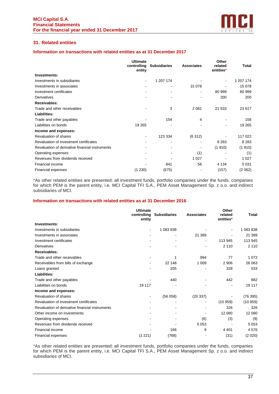

# **31. Related entities**

# **Information on transactions with related entities as at 31 December 2017**

|                                                 | <b>Ultimate</b><br>controlling<br>entity | <b>Subsidiaries</b> | <b>Associates</b> | Other<br>related<br>entities* | Total     |
|-------------------------------------------------|------------------------------------------|---------------------|-------------------|-------------------------------|-----------|
| Investments:                                    |                                          |                     |                   |                               |           |
| Investments in subsidiaries                     |                                          | 1 207 174           |                   |                               | 1 207 174 |
| Investments in associates                       |                                          |                     | 15 078            |                               | 15 078    |
| Investment certificates                         |                                          |                     |                   | 80 999                        | 80 999    |
| Derivatives                                     |                                          |                     |                   | 200                           | 200       |
| Receivables:                                    |                                          |                     |                   |                               |           |
| Trade and other receivables                     |                                          | 3                   | 2 0 8 1           | 21 533                        | 23 617    |
| Liabilities:                                    |                                          |                     |                   |                               |           |
| Trade and other payables                        |                                          | 154                 | 4                 |                               | 158       |
| Liabilities on bonds                            | 19 265                                   |                     |                   |                               | 19 265    |
| Income and expenses:                            |                                          |                     |                   |                               |           |
| Revaluation of shares                           | ۰                                        | 123 334             | (6312)            |                               | 117 022   |
| Revaluation of investment certificates          |                                          | ۰                   |                   | 8 2 8 3                       | 8 2 8 3   |
| Revaluation of derivative financial instruments |                                          |                     |                   | (1910)                        | (1910)    |
| Operating expenses                              |                                          |                     | (1)               |                               | (1)       |
| Revenues from dividends received                |                                          |                     | 1 0 2 7           |                               | 1 0 2 7   |
| Financial income                                |                                          | 841                 | 56                | 4 1 3 4                       | 5 0 31    |
| <b>Financial expenses</b>                       | (1 230)                                  | (675)               |                   | (157)                         | (2062)    |

\*As other related entities are presented: all investment funds, portfolio companies under the funds, companies for which PEM is the parent entity, i.e. MCI Capital TFI S.A., PEM Asset Management Sp. z o.o. and indirect subsidiaries of MCI.

# **Information on transactions with related entities as at 31 December 2016**

|                                                 | <b>Ultimate</b><br>controlling<br>entity | <b>Subsidiaries</b> | <b>Associates</b>        | Other<br>related<br>entities* | <b>Total</b> |
|-------------------------------------------------|------------------------------------------|---------------------|--------------------------|-------------------------------|--------------|
| Investments:                                    |                                          |                     |                          |                               |              |
| Investments in subsidiaries                     | $\overline{\phantom{a}}$                 | 1 083 838           |                          |                               | 1 083 838    |
| Investments in associates                       |                                          |                     | 21 389                   |                               | 21 389       |
| Investment certificates                         |                                          |                     | $\blacksquare$           | 113 945                       | 113 945      |
| Derivatives                                     |                                          |                     |                          | 2 1 1 0                       | 2 1 1 0      |
| Receivables:                                    |                                          |                     |                          |                               |              |
| Trade and other receivables                     |                                          | 1                   | 994                      | 77                            | 1 0 7 2      |
| Receivables from bills of exchange              |                                          | 22 148              | 1 0 0 9                  | 2 9 0 6                       | 26 063       |
| Loans granted                                   |                                          | 205                 | $\overline{\phantom{0}}$ | 328                           | 533          |
| Liabilities:                                    |                                          |                     |                          |                               |              |
| Trade and other payables                        |                                          | 440                 |                          | 442                           | 882          |
| Liabilities on bonds                            | 19 117                                   |                     |                          |                               | 19 117       |
| Income and expenses:                            |                                          |                     |                          |                               |              |
| <b>Revaluation of shares</b>                    |                                          | (56058)             | (20337)                  |                               | (76395)      |
| Revaluation of investment certificates          |                                          |                     |                          | (10959)                       | (10959)      |
| Revaluation of derivative financial instruments |                                          |                     |                          | 326                           | 326          |
| Other income on investments                     |                                          |                     |                          | 12 080                        | 12 080       |
| Operating expenses                              |                                          |                     | (6)                      | (3)                           | (9)          |
| Revenues from dividends received                |                                          |                     | 5 0 5 3                  |                               | 5 0 5 3      |
| Financial income                                |                                          | 166                 | 9                        | 4 4 0 1                       | 4576         |
| Financial expenses                              | (1 221)                                  | (768)               |                          | (31)                          | (2 020)      |

\*As other related entities are presented: all investment funds, portfolio companies under the funds, companies for which PEM is the parent entity, i.e. MCI Capital TFI S.A., PEM Asset Management Sp. z o.o. and indirect subsidiaries of MCI.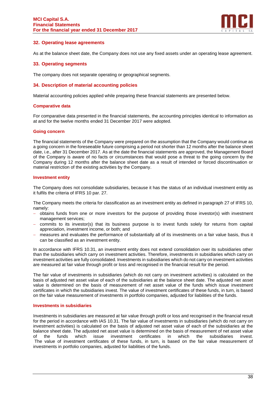

# **32. Operating lease agreements**

As at the balance sheet date, the Company does not use any fixed assets under an operating lease agreement.

# **33. Operating segments**

The company does not separate operating or geographical segments.

# **34. Description of material accounting policies**

Material accounting policies applied while preparing these financial statements are presented below.

## **Comparative data**

For comparative data presented in the financial statements, the accounting principles identical to information as at and for the twelve months ended 31 December 2017 were adopted.

## **Going concern**

The financial statements of the Company were prepared on the assumption that the Company would continue as a going concern in the foreseeable future comprising a period not shorter than 12 months after the balance sheet date, i.e., after 31 December 2017. As at the date the financial statements are approved, the Management Board of the Company is aware of no facts or circumstances that would pose a threat to the going concern by the Company during 12 months after the balance sheet date as a result of intended or forced discontinuation or material restriction of the existing activities by the Company.

# **Investment entity**

The Company does not consolidate subsidiaries, because it has the status of an individual investment entity as it fulfils the criteria of IFRS 10 par. 27.

The Company meets the criteria for classification as an investment entity as defined in paragraph 27 of IFRS 10, namely:

- − obtains funds from one or more investors for the purpose of providing those investor(s) with investment management services;
- − commits to its investor(s) that its business purpose is to invest funds solely for returns from capital appreciation, investment income, or both; and
- measures and evaluates the performance of substantially all of its investments on a fair value basis, thus it can be classified as an investment entity.

In accordance with IFRS 10.31, an investment entity does not extend consolidation over its subsidiaries other than the subsidiaries which carry on investment activities. Therefore, investments in subsidiaries which carry on investment activities are fully consolidated. Investments in subsidiaries which do not carry on investment activities are measured at fair value through profit or loss and recognised in the financial result for the period.

The fair value of investments in subsidiaries (which do not carry on investment activities) is calculated on the basis of adjusted net asset value of each of the subsidiaries at the balance sheet date. The adjusted net asset value is determined on the basis of measurement of net asset value of the funds which issue investment certificates in which the subsidiaries invest. The value of investment certificates of these funds, in turn, is based on the fair value measurement of investments in portfolio companies, adjusted for liabilities of the funds.

# **Investments in subsidiaries**

Investments in subsidiaries are measured at fair value through profit or loss and recognised in the financial result for the period in accordance with IAS 10.31. The fair value of investments in subsidiaries (which do not carry on investment activities) is calculated on the basis of adjusted net asset value of each of the subsidiaries at the balance sheet date. The adjusted net asset value is determined on the basis of measurement of net asset value of the funds which issue investment certificates in which the subsidiaries invest. The value of investment certificates of these funds, in turn, is based on the fair value measurement of investments in portfolio companies, adjusted for liabilities of the funds.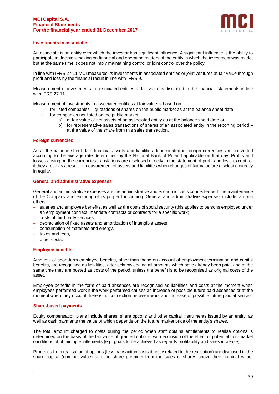

## **Investments in associates**

An associate is an entity over which the investor has significant influence. A significant influence is the ability to participate in decision-making on financial and operating matters of the entity in which the investment was made, but at the same time it does not imply maintaining control or joint control over the policy.

In line with IFRS 27.11 MCI measures its investments in associated entities or joint ventures at fair value through profit and loss by the financial result in line with IFRS 9.

Measurement of investments in associated entities at fair value is disclosed in the financial statements in line with IFRS 27.11.

Measurement of investments in associated entities at fair value is based on:

- − for listed companies quotations of shares on the public market as at the balance sheet date,
- for companies not listed on the public market:
	- a) at fair value of net assets of an associated entity as at the balance sheet date or,
	- b) for representative sales transactions of shares of an associated entity in the reporting period at the value of the share from this sales transaction.

## **Foreign currencies**

As at the balance sheet date financial assets and liabilities denominated in foreign currencies are converted according to the average rate determined by the National Bank of Poland applicable on that day. Profits and losses arising on the currencies translations are disclosed directly in the statement of profit and loss, except for if they arose as a result of measurement of assets and liabilities when changes of fair value are disclosed directly in equity.

## **General and administrative expenses**

General and administrative expenses are the administrative and economic costs connected with the maintenance of the Company and ensuring of its proper functioning. General and administrative expenses include, among others:

- salaries and employee benefits, as well as the costs of social security (this applies to persons employed under an employment contract, mandate contracts or contracts for a specific work),
- costs of third party services,
- − depreciation of fixed assets and amortization of intangible assets,
- − consumption of materials and energy,
- taxes and fees.
- − other costs.

# **Employee benefits**

Amounts of short-term employee benefits, other than those on account of employment termination and capital benefits, are recognised as liabilities, after acknowledging all amounts which have already been paid, and at the same time they are posted as costs of the period, unless the benefit is to be recognised as original costs of the asset.

Employee benefits in the form of paid absences are recognised as liabilities and costs at the moment when employees performed work if the work performed causes an increase of possible future paid absences or at the moment when they occur if there is no connection between work and increase of possible future paid absences.

# **Share-based payments**

Equity compensation plans include shares, share options and other capital instruments issued by an entity, as well as cash payments the value of which depends on the future market price of the entity's shares.

The total amount charged to costs during the period when staff obtains entitlements to realise options is determined on the basis of the fair value of granted options, with exclusion of the effect of potential non-market conditions of obtaining entitlements (e.g. goals to be achieved as regards profitability and sales increase).

Proceeds from realisation of options (less transaction costs directly related to the realisation) are disclosed in the share capital (nominal value) and the share premium from the sales of shares above their nominal value.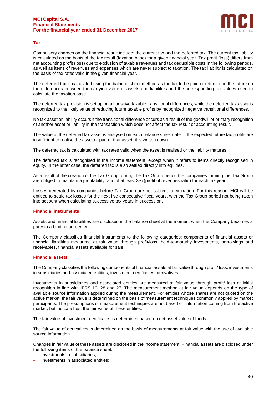

# **Tax**

Compulsory charges on the financial result include: the current tax and the deferred tax. The current tax liability is calculated on the basis of the tax result (taxation base) for a given financial year. Tax profit (loss) differs from net accounting profit (loss) due to exclusion of taxable revenues and tax deductible costs in the following periods, as well as items of revenues and expenses which are never subject to taxation. The tax liability is calculated on the basis of tax rates valid in the given financial year.

The deferred tax is calculated using the balance sheet method as the tax to be paid or returned in the future on the differences between the carrying value of assets and liabilities and the corresponding tax values used to calculate the taxation base.

The deferred tax provision is set up on all positive taxable transitional differences, while the deferred tax asset is recognized to the likely value of reducing future taxable profits by recognized negative transitional differences.

No tax asset or liability occurs if the transitional difference occurs as a result of the goodwill or primary recognition of another asset or liability in the transaction which does not affect the tax result or accounting result.

The value of the deferred tax asset is analysed on each balance sheet date. If the expected future tax profits are insufficient to realise the asset or part of that asset, it is written down.

The deferred tax is calculated with tax rates valid when the asset is realised or the liability matures.

The deferred tax is recognised in the income statement, except when it refers to items directly recognised in equity. In the latter case, the deferred tax is also settled directly into equities.

As a result of the creation of the Tax Group, during the Tax Group period the companies forming the Tax Group are obliged to maintain a profitability ratio of at least 3% (profit of revenues ratio) for each tax year.

Losses generated by companies before Tax Group are not subject to expiration. For this reason, MCI will be entitled to settle tax losses for the next five consecutive fiscal years, with the Tax Group period not being taken into account when calculating successive tax years in succession.

# **Financial instruments**

Assets and financial liabilities are disclosed in the balance sheet at the moment when the Company becomes a party to a binding agreement.

The Company classifies financial instruments to the following categories: components of financial assets or financial liabilities measured at fair value through profit/loss, held-to-maturity investments, borrowings and receivables, financial assets available for sale.

# **Financial assets**

The Company classifies the following components of financial assets at fair value through profit/ loss: investments in subsidiaries and associated entities, investment certificates, derivatives.

Investments in subsidiaries and associated entities are measured at fair value through profit/ loss at initial recognition in line with IFRS 10, 28 and 27. The measurement method at fair value depends on the type of available source information applied during the measurement. For entities whose shares are not quoted on the active market, the fair value is determined on the basis of measurement techniques commonly applied by market participants. The presumptions of measurement techniques are not based on information coming from the active market, but indicate best the fair value of these entities.

The fair value of investment certificates is determined based on net asset value of funds.

The fair value of derivatives is determined on the basis of measurements at fair value with the use of available source information.

Changes in fair value of these assets are disclosed in the income statement. Financial assets are disclosed under the following items of the balance sheet:

- investments in subsidiaries.
- investments in associated entities: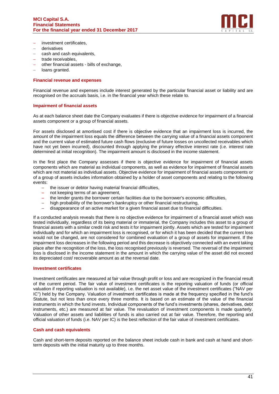

- − investment certificates,
- − derivatives
- − cash and cash equivalents,
- − trade receivables,
- − other financial assets bills of exchange,
- − loans granted.

## **Financial revenue and expenses**

Financial revenue and expenses include interest generated by the particular financial asset or liability and are recognised on the accruals basis, i.e. in the financial year which these relate to.

## **Impairment of financial assets**

As at each balance sheet date the Company evaluates if there is objective evidence for impairment of a financial assets component or a group of financial assets.

For assets disclosed at amortised cost if there is objective evidence that an impairment loss is incurred, the amount of the impairment loss equals the difference between the carrying value of a financial assets component and the current value of estimated future cash flows (exclusive of future losses on uncollected receivables which have not yet been incurred), discounted through applying the primary effective interest rate (i.e. interest rate determined at initial recognition). The impairment amount is disclosed in the income statement.

In the first place the Company assesses if there is objective evidence for impairment of financial assets components which are material as individual components, as well as evidence for impairment of financial assets which are not material as individual assets. Objective evidence for impairment of financial assets components or of a group of assets includes information obtained by a holder of asset components and relating to the following events:

- the issuer or debtor having material financial difficulties,
- not keeping terms of an agreement,
- the lender grants the borrower certain facilities due to the borrower's economic difficulties,
- high probability of the borrower's bankruptcy or other financial restructuring,
- disappearance of an active market for a given financial asset due to financial difficulties.

If a conducted analysis reveals that there is no objective evidence for impairment of a financial asset which was tested individually, regardless of its being material or immaterial, the Company includes this asset to a group of financial assets with a similar credit risk and tests it for impairment jointly. Assets which are tested for impairment individually and for which an impairment loss is recognised, or for which it has been decided that the current loss would not be changed, are not considered for combined evaluation of a group of assets for impairment. If the impairment loss decreases in the following period and this decrease is objectively connected with an event taking place after the recognition of the loss, the loss recognised previously is reversed. The reversal of the impairment loss is disclosed in the income statement in the amount in which the carrying value of the asset did not exceed its depreciated cost/ recoverable amount as at the reversal date.

#### **Investment certificates**

Investment certificates are measured at fair value through profit or loss and are recognized in the financial result of the current period. The fair value of investment certificates is the reporting valuation of funds (or official valuation if reporting valuation is not available), i.e. the net asset value of the investment certificates ("NAV per IC") held by the Company. Valuation of investment certificates is made at the frequency specified in the fund's Statute, but not less than once every three months. It is based on an estimate of the value of the financial instruments in which the fund invests. Individual components of the fund's investments (shares, derivatives, debt instruments, etc.) are measured at fair value. The revaluation of investment components is made quarterly. Valuation of other assets and liabilities of funds is also carried out at fair value. Therefore, the reporting and official valuation of funds (i.e. NAV per IC) is the best reflection of the fair value of investment certificates.

# **Cash and cash equivalents**

Cash and short-term deposits reported on the balance sheet include cash in bank and cash at hand and shortterm deposits with the initial maturity up to three months.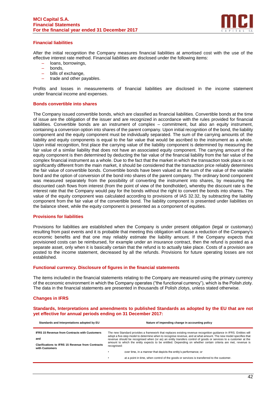

# **Financial liabilities**

After the initial recognition the Company measures financial liabilities at amortised cost with the use of the effective interest rate method. Financial liabilities are disclosed under the following items:

- loans, borrowings,
- bonds,
- bills of exchange,
- trade and other payables.

Profits and losses in measurements of financial liabilities are disclosed in the income statement under financial income and expenses.

#### **Bonds convertible into shares**

The Company issued convertible bonds, which are classified as financial liabilities. Convertible bonds at the time of issue are the obligation of the issuer and are recognized in accordance with the rules provided for financial liabilities. Convertible bonds are an instrument of complex – commitment, but also an equity instrument, containing a conversion option into shares of the parent company. Upon initial recognition of the bond, the liability component and the equity component must be individually separated. The sum of the carrying amounts of: the liability and equity components is equal to the fair value that would be ascribed to the instrument as a whole. Upon initial recognition, first place the carrying value of the liability component is determined by measuring the fair value of a similar liability that does not have an associated equity component. The carrying amount of the equity component is then determined by deducting the fair value of the financial liability from the fair value of the complex financial instrument as a whole. Due to the fact that the market in which the transaction took place is not significantly different from the main market, it should be considered that the transaction price reliably determines the fair value of convertible bonds. Convertible bonds have been valued as the sum of the value of the variable bond and the option of conversion of the bond into shares of the parent company. The ordinary bond component was measured separately from the possibility of converting the instrument into shares, by measuring the discounted cash flows from interest (from the point of view of the bondholder), whereby the discount rate is the interest rate that the Company would pay for the bonds without the right to convert the bonds into shares. The value of the equity component was calculated according to provisions of IAS 32.32, by subtracting the liability component from the fair value of the convertible bond. The liability component is presented under liabilities on the balance sheet, while the equity component is presented as a component of equities.

#### **Provisions for liabilities**

Provisions for liabilities are established when the Company is under present obligation (legal or customary) resulting from past events and it is probable that meeting this obligation will cause a reduction of the Company's economic benefits and that one may reliably estimate the liability amount. If the Company expects that provisioned costs can be reimbursed, for example under an insurance contract, then the refund is posted as a separate asset, only when it is basically certain that the refund is to actually take place. Costs of a provision are posted to the income statement, decreased by all the refunds. Provisions for future operating losses are not established.

#### **Functional currency. Disclosure of figures in the financial statements**

The items included in the financial statements relating to the Company are measured using the primary currency of the economic environment in which the Company operates ("the functional currency"), which is the Polish zloty. The data in the financial statements are presented in thousands of Polish zlotys, unless stated otherwise.

# **Changes in IFRS**

**Standards, Interpretations and amendments to published Standards as adopted by the EU that are not yet effective for annual periods ending on 31 December 2017:**

| Standards and Interpretations adopted by EU                                                                                              | Nature of impending change in accounting policy                                                                                                                                                                                                                                                                                                                                                                                                                                        |
|------------------------------------------------------------------------------------------------------------------------------------------|----------------------------------------------------------------------------------------------------------------------------------------------------------------------------------------------------------------------------------------------------------------------------------------------------------------------------------------------------------------------------------------------------------------------------------------------------------------------------------------|
| <b>IFRS 15 Revenue from Contracts with Customers</b><br>and<br><b>Clarifications to IFRS 15 Revenue from Contracts</b><br>with Customers | The new Standard provides a framework that replaces existing revenue recognition quidance in IFRS. Entities will<br>adopt a five-step model to determine when to recognise revenue, and at what amount. The new model specifies that<br>revenue should be recognised when (or as) an entity transfers control of goods or services to a customer at the<br>amount to which the entity expects to be entitled. Depending on whether certain criteria are met, revenue is<br>recognised: |
|                                                                                                                                          | over time, in a manner that depicts the entity's performance; or                                                                                                                                                                                                                                                                                                                                                                                                                       |
|                                                                                                                                          | at a point in time, when control of the goods or services is transferred to the customer.<br>٠                                                                                                                                                                                                                                                                                                                                                                                         |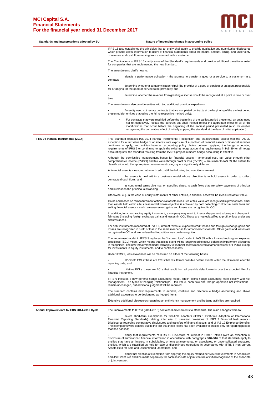

| Standards and Interpretations adopted by EU | Nature of impending change in accounting policy                                                                                                                                                                                                                                                                                                                                                                                                                                                                                                                                  |
|---------------------------------------------|----------------------------------------------------------------------------------------------------------------------------------------------------------------------------------------------------------------------------------------------------------------------------------------------------------------------------------------------------------------------------------------------------------------------------------------------------------------------------------------------------------------------------------------------------------------------------------|
|                                             | IFRS 15 also establishes the principles that an entity shall apply to provide qualitative and quantitative disclosures<br>which provide useful information to users of financial statements about the nature, amount, timing, and uncertainty<br>of revenue and cash flows arising from a contract with a customer.                                                                                                                                                                                                                                                              |
|                                             | The Clarifications to IFRS 15 clarify some of the Standard's requirements and provide additional transitional relief<br>for companies that are implementing the new Standard.                                                                                                                                                                                                                                                                                                                                                                                                    |
|                                             | The amendments clarify how to:                                                                                                                                                                                                                                                                                                                                                                                                                                                                                                                                                   |
|                                             | identify a performance obligation - the promise to transfer a good or a service to a customer- in a<br>contract;                                                                                                                                                                                                                                                                                                                                                                                                                                                                 |
|                                             | determine whether a company is a principal (the provider of a good or service) or an agent (responsible<br>for arranging for the good or service to be provided); and                                                                                                                                                                                                                                                                                                                                                                                                            |
|                                             | determine whether the revenue from granting a license should be recognised at a point in time or over<br>time.                                                                                                                                                                                                                                                                                                                                                                                                                                                                   |
|                                             | The amendments also provide entities with two additional practical expedients:                                                                                                                                                                                                                                                                                                                                                                                                                                                                                                   |
|                                             | An entity need not restate contracts that are completed contracts at the beginning of the earliest period<br>presented (for entities that using the full retrospective method only);                                                                                                                                                                                                                                                                                                                                                                                             |
|                                             | For contracts that were modified before the beginning of the earliest period presented, an entity need<br>$\bullet$<br>not retrospectively restate the contract but shall instead reflect the aggregate effect of all of the<br>modifications that occur before the beginning of the earliest period presented (also for entities<br>recognising the cumulative effect of initially applying the standard at the date of initial application).                                                                                                                                   |
| <b>IFRS 9 Financial Instruments (2014)</b>  | This Standard replaces IAS 39, Financial Instruments: Recognition and Measurement, except that the IAS 39<br>exception for a fair value hedge of an interest rate exposure of a portfolio of financial assets or financial liabilities<br>continues to apply, and entities have an accounting policy choice between applying the hedge accounting<br>requirements of IFRS 9 or continuing to apply the existing hedge accounting requirements in IAS 39 for all hedge<br>accounting until the standard resulting from the IASB's project in macro hedge accounting is effective. |
|                                             | Although the permissible measurement bases for financial assets – amortised cost, fair value through other<br>comprehensive income (FVOCI) and fair value through profit or loss (FVTPL) – are similar to IAS 39, the criteria for<br>classification into the appropriate measurement category are significantly different.                                                                                                                                                                                                                                                      |
|                                             | A financial asset is measured at amortized cost if the following two conditions are met:                                                                                                                                                                                                                                                                                                                                                                                                                                                                                         |
|                                             | the assets is held within a business model whose objective is to hold assets in order to collect<br>contractual cash flows; and                                                                                                                                                                                                                                                                                                                                                                                                                                                  |
|                                             | its contractual terms give rise, on specified dates, to cash flows that are solely payments of principal<br>and interest on the principal outstanding.                                                                                                                                                                                                                                                                                                                                                                                                                           |
|                                             | Otherwise, e.g. in the case of equity instruments of other entities, a financial asset will be measured at fair value.                                                                                                                                                                                                                                                                                                                                                                                                                                                           |
|                                             | Gains and losses on remeasurement of financial assets measured at fair value are recognised in profit or loss, other<br>than assets held within a business model whose objective is achieved by both collecting contractual cash flows and<br>selling financial assets - such remeasurement gains and losses are recognized in OCI.                                                                                                                                                                                                                                              |
|                                             | In addition, for a non-trading equity instrument, a company may elect to irrevocably present subsequent changes in<br>fair value (including foreign exchange gains and losses) in OCI. These are not reclassified to profit or loss under any<br>circumstances.                                                                                                                                                                                                                                                                                                                  |
|                                             | For debt instruments measured at FVOCI, interest revenue, expected credit losses and foreign exchange gains and<br>losses are recognised in profit or loss in the same manner as for amortised cost assets. Other gains and losses are<br>recognised in OCI and are reclassified to profit or loss on derecognition.                                                                                                                                                                                                                                                             |
|                                             | The impairment model in IFRS 9 replaces the 'incurred loss' model in IAS 39 with a forward-looking an 'expected<br>credit loss' (ECL) model, which means that a loss event will no longer need to occur before an impairment allowance<br>is recognised. The new impairment model will apply to financial assets measured at amortized cost or FVOCI, except<br>for investments in equity instruments, and to contract assets.                                                                                                                                                   |
|                                             | Under IFRS 9, loss allowances will be measured on either of the following bases:                                                                                                                                                                                                                                                                                                                                                                                                                                                                                                 |
|                                             | 12-month ECLs: these are ECLs that result from possible default events within the 12 months after the<br>reporting date; and                                                                                                                                                                                                                                                                                                                                                                                                                                                     |
|                                             | Lifetime ECLs: these are ECLs that result from all possible default events over the expected life of a<br>financial instrument.                                                                                                                                                                                                                                                                                                                                                                                                                                                  |
|                                             | IFRS 9 includes a new general hedge accounting model, which aligns hedge accounting more closely with risk<br>management. The types of hedging relationships - fair value, cash flow and foreign operation net investment -<br>remain unchanged, but additional judgment will be required.                                                                                                                                                                                                                                                                                       |
|                                             | The standard contains new requirements to achieve, continue and discontinue hedge accounting and allows<br>additional exposures to be designated as hedged items.                                                                                                                                                                                                                                                                                                                                                                                                                |
|                                             | Extensive additional disclosures regarding an entity's risk management and hedging activities are required.                                                                                                                                                                                                                                                                                                                                                                                                                                                                      |
| Annual Improvements to IFRS 2014-2016 Cycle | The Improvements to IFRSs (2014-2016) contains 3 amendments to standards. The main changes were to:                                                                                                                                                                                                                                                                                                                                                                                                                                                                              |
|                                             | delete short-term exemptions for first-time adopters (IFRS 1 First-time Adoption of International<br>Financial Reporting Standards) relating, inter alia, to transition provisions of IFRS 7 Financial Instruments -<br>Disclosures regarding comparative disclosures and transfers of financial assets, and of IAS 19 Employee Benefits;<br>The exemptions were deleted due to the fact that these reliefs had been available to entities only for reporting periods<br>that had passed;                                                                                        |
|                                             | clarify that requirements of IFRS 12 Disclosure of Interest in Other Entities (with an exception of<br>disclosure of summarized financial information in accordance with paragraphs B10-B16 of that standard) apply to<br>entities that have an interest in subsidiaries, or joint arrangements, or associates, or unconsolidated structured<br>entities, which are classified as held for sale or discontinued operations in accordance with IFRS 5 Non-current<br>Assets Held for Sale and Discontinued Operations; and                                                        |
|                                             | clarify that election of exemption from applying the equity method per IAS 28 Investments in Associates<br>and Joint Ventures shall be made separately for each associate or joint venture at initial recognition of the associate<br>or joint venture                                                                                                                                                                                                                                                                                                                           |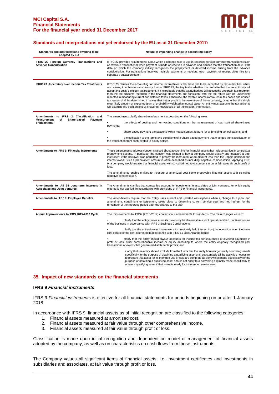

## **Standards and interpretations not yet endorsed by the EU as at 31 December 2017:**

| Standards and Interpretations awaiting to be<br>adopted by EU                                                 | Nature of impending change in accounting policy                                                                                                                                                                                                                                                                                                                                                                                                                                                                                                                                                                                                                                                                                                                                                                                                                                                                                                                                                                                                                                                                                                                                                                                                                                                                                  |
|---------------------------------------------------------------------------------------------------------------|----------------------------------------------------------------------------------------------------------------------------------------------------------------------------------------------------------------------------------------------------------------------------------------------------------------------------------------------------------------------------------------------------------------------------------------------------------------------------------------------------------------------------------------------------------------------------------------------------------------------------------------------------------------------------------------------------------------------------------------------------------------------------------------------------------------------------------------------------------------------------------------------------------------------------------------------------------------------------------------------------------------------------------------------------------------------------------------------------------------------------------------------------------------------------------------------------------------------------------------------------------------------------------------------------------------------------------|
| IFRIC 22 Foreign Currency Transactions and<br><b>Advance Consideration</b>                                    | IFRIC 22 provides requirements about which exchange rate to use in reporting foreign currency transactions (such<br>as revenue transactions) when payment is made or received in advance and clarifies that the transaction date is the<br>date on which the company initially recognises the prepayment or deferred income arising from the advance<br>consideration. For transactions involving multiple payments or receipts, each payment or receipt gives rise to a<br>separate transaction date.                                                                                                                                                                                                                                                                                                                                                                                                                                                                                                                                                                                                                                                                                                                                                                                                                           |
| <b>IFRIC 23 Uncertainty over Income Tax Treatments</b>                                                        | IFRIC 23 clarifies the accounting for income tax treatments that have yet to be accepted by tax authorities, whilst<br>also aiming to enhance transparency. Under IFRIC 23, the key test is whether it is probable that the tax authority will<br>accept the entity's chosen tax treatment. If it is probable that the tax authorities will accept the uncertain tax treatment<br>then the tax amounts recorded in the financial statements are consistent with the tax return with no uncertainty<br>reflected in measuring current and deferred taxes. Otherwise, the taxable income (or tax loss), tax bases and unused<br>tax losses shall be determined in a way that better predicts the resolution of the uncertainty, using either the single<br>most likely amount or expected (sum of probability weighted amounts) value. An entity must assume the tax authority<br>will examine the position and will have full knowledge of all the relevant information.                                                                                                                                                                                                                                                                                                                                                          |
| Amendments to IFRS 2 Classification and<br>Measurement<br>of<br>Share-based<br>Payment<br><b>Transactions</b> | The amendments clarify share-based payment accounting on the following areas:<br>the effects of vesting and non-vesting conditions on the measurement of cash-settled share-based<br>payments;<br>share-based payment transactions with a net settlement feature for withholding tax obligations; and<br>a modification to the terms and conditions of a share-based payment that changes the classification of<br>the transaction from cash-settled to equity settled.                                                                                                                                                                                                                                                                                                                                                                                                                                                                                                                                                                                                                                                                                                                                                                                                                                                          |
| <b>Amendments to IFRS 9: Financial Instruments</b>                                                            | These amendments address concerns raised about accounting for financial assets that include particular contractual<br>prepayment options. In particular, the concern was related to how a company would classify and measure a debt<br>instrument if the borrower was permitted to prepay the instrument at an amount less than the unpaid principal and<br>interest owed. Such a prepayment amount is often described as including 'negative compensation'. Applying IFRS<br>9, a company would measure a financial asset with so-called negative compensation at fair value through profit or<br>loss.<br>The amendments enable entities to measure at amortized cost some prepayable financial assets with so-called<br>negative compensation.                                                                                                                                                                                                                                                                                                                                                                                                                                                                                                                                                                                |
| Amendments to IAS 28 Long-term Interests in<br><b>Associates and Joint Ventures</b>                           | The Amendments clarifies that companies account for investments in associates or joint ventures, for which equity<br>method is not applied, in accordance with provisions of IFRS 9 Financial Instruments.                                                                                                                                                                                                                                                                                                                                                                                                                                                                                                                                                                                                                                                                                                                                                                                                                                                                                                                                                                                                                                                                                                                       |
| Amendments to IAS 19: Employee Benefits                                                                       | The Amendments require that the Entity uses current and updated assumptions when a change to a plan, and<br>amendment, curtailment or settlement, takes place to determine current service cost and net interest for the<br>remainder of the reporting period after the change to the plan                                                                                                                                                                                                                                                                                                                                                                                                                                                                                                                                                                                                                                                                                                                                                                                                                                                                                                                                                                                                                                       |
| Annual Improvements to IFRS 2015-2017 Cycle                                                                   | The Improvements to IFRSs (2015-2017) contains four amendments to standards. The main changes were to:<br>clarify that the entity remeasures its previously held interest in a joint operation when it obtains control<br>of the business in accordance with IFRS 3 Business Combinations;<br>clarify that the entity does not remeasure its previously held interest in a joint operation when it obtains<br>joint control of the joint operation in accordance with IFRS 11 Joint Arrangements;<br>clarify that the entity should always accounts for income tax consequences of dividend payments in<br>profit or loss, other comprehensive income or equity according to where the entity originally recognized past<br>transactions or events that generated distributable profits; and<br>clarify that the entity should exclude from the funds that the entity borrows generally borrowings made<br>specifically for the purpose of obtaining a qualifying asset until substantially all the activities necessary<br>to prepare that asset for its intended use or sale are complete as borrowings made specifically for the<br>purpose of obtaining a qualifying asset should not apply to a borrowing originally made specifically to<br>obtain a qualifying asset if that asset is ready for its intended use or sale. |

#### **35. Impact of new standards on the financial statements**

#### **IFRS 9** *Financial instruments*

IFRS 9 *Financial instruments* is effective for all financial statements for periods beginning on or after 1 January 2018.

In accordance with IFRS 9, financial assets as of initial recognition are classified to the following categories:

- 1. Financial assets measured at amortised cost,
- 2. Financial assets measured at fair value through other comprehensive income,
- 3. Financial assets measured at fair value through profit or loss.

Classification is made upon initial recognition and dependent on model of management of financial assets adopted by the company, as well as on characteristics on cash flows from these instruments.

The Company values all significant items of financial assets, i.e. investment certificates and investments in subsidiaries and associates, at fair value through profit or loss.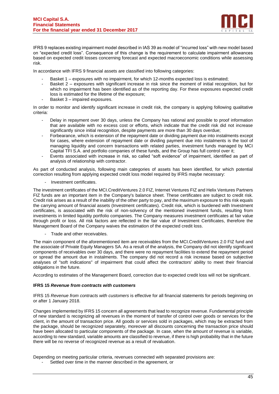

IFRS 9 replaces existing impairment model described in IAS 39 as model of "incurred loss" with new model based on "expected credit loss". Consequence of this change is the requirement to calculate impairment allowances based on expected credit losses concerning forecast and expected macroeconomic conditions while assessing risk.

In accordance with IFRS 9 financial assets are classified into following categories:

- Basket 1 exposures with no impairment, for which 12-months expected loss is estimated;
- Basket 2 exposures with significant increase in risk since the moment of initial recognition, but for which no impairment has been identified as of the reporting day. For these exposures expected credit loss is estimated for the lifetime of the exposure;
- Basket 3 impaired exposures.

In order to monitor and identify significant increase in credit risk, the company is applying following qualitative criteria:

- Delay in repayment over 30 days, unless the Company has rational and possible to proof information that are available with no excess cost or efforts, which indicate that the credit risk did not increase significantly since initial recognition, despite payments are more than 30 days overdue;
- Forbearance, which is extension of the repayment date or dividing payment due into instalments except for cases, where extension of repayment date or dividing payment due into instalments is the tool of managing liquidity and concern transactions with related parties, investment funds managed by MCI Capital TFI S.A. and portfolio companies of these funds, and the Group has full control over it;
- Events associated with increase in risk, so called "soft evidence" of impairment, identified as part of analysis of relationship with contractor.

As part of conducted analysis, following main categories of assets has been identified, for which potential correction resulting from applying expected credit loss model required by IFRS maybe necessary:

- Investment certificates.

The investment certificates of the MCI.CreditVentures 2.0 FIZ, Internet Ventures FIZ and Helix Ventures Partners FIZ funds are an important item in the Company's balance sheet. These certificates are subject to credit risk. Credit risk arises as a result of the inability of the other party to pay, and the maximum exposure to this risk equals the carrying amount of financial assets (Investment certificates). Credit risk, which is burdened with Investment certificates, is associated with the risk of non-solvency of the mentioned investment funds, resulting from investments in limited liquidity portfolio companies. The Company measures investment certificates at fair value through profit or loss. All risk factors are reflected in the fair value of Investment Certificates, therefore the Management Board of the Company waives the estimation of the expected credit loss.

- Trade and other receivables.

The main component of the aforementioned item are receivables from the MCI.CreditVentures 2.0 FIZ fund and the associate of Private Equity Managers SA. As a result of the analysis, the Company did not identify significant components of receivables over 30 days, and there were no repayment facilities to extend the repayment period or spread the amount due in instalments. The company did not record a risk increase based on subjective analyses of "soft indications" of impairment that could affect the contractors' ability to meet their financial obligations in the future.

According to estimates of the Management Board, correction due to expected credit loss will not be significant.

# **IFRS 15** *Revenue from contracts with customers*

IFRS 15 *Revenue from contracts with customers* is effective for all financial statements for periods beginning on or after 1 January 2018.

Changes implemented by IFRS 15 concern all agreements that lead to recognize revenue. Fundamental principle of new standard is recognizing all revenues in the moment of transfer of control over goods or services for the client, in the amount of transaction price. All goods or services sold in packages, which may be extracted from the package, should be recognized separately, moreover all discounts concerning the transaction price should have been allocated to particular components of the package. In case, when the amount of revenue is variable, according to new standard, variable amounts are classified to revenue, if there is high probability that in the future there will be no reverse of recognized revenue as a result of revaluation.

Depending on meeting particular criteria, revenues connected with separated provisions are:

Settled over time in the manner described in the agreement, or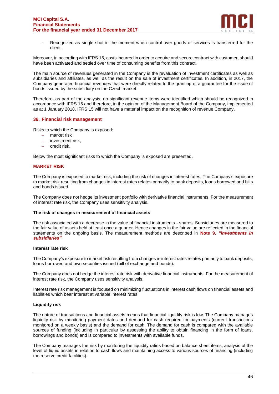

Recognized as single shot in the moment when control over goods or services is transferred for the client.

Moreover, in according with IFRS 15, costs incurred in order to acquire and secure contract with customer, should have been activated and settled over time of consuming benefits from this contract.

The main source of revenues generated in the Company is the revaluation of investment certificates as well as subsidiaries and affiliates, as well as the result on the sale of investment certificates. In addition, in 2017, the Company generated financial revenues that were directly related to the granting of a guarantee for the issue of bonds issued by the subsidiary on the Czech market.

Therefore, as part of the analysis, no significant revenue items were identified which should be recognized in accordance with IFRS 15 and therefore, in the opinion of the Management Board of the Company, implemented as at 1 January 2018. IFRS 15 will not have a material impact on the recognition of revenue Company.

# **36. Financial risk management**

Risks to which the Company is exposed:

- − market risk
- − investment risk,
- − credit risk.

Below the most significant risks to which the Company is exposed are presented.

# **MARKET RISK**

The Company is exposed to market risk, including the risk of changes in interest rates. The Company's exposure to market risk resulting from changes in interest rates relates primarily to bank deposits, loans borrowed and bills and bonds issued.

The Company does not hedge its investment portfolio with derivative financial instruments. For the measurement of interest rate risk, the Company uses sensitivity analysis.

#### **The risk of changes in measurement of financial assets**

The risk associated with a decrease in the value of financial instruments - shares. Subsidiaries are measured to the fair value of assets held at least once a quarter. Hence changes in the fair value are reflected in the financial statements on the ongoing basis. The measurement methods are described in **Note 9,** *"Investments in subsidiaries"*.

#### **Interest rate risk**

The Company's exposure to market risk resulting from changes in interest rates relates primarily to bank deposits, loans borrowed and own securities issued (bill of exchange and bonds).

The Company does not hedge the interest rate risk with derivative financial instruments. For the measurement of interest rate risk, the Company uses sensitivity analysis.

Interest rate risk management is focused on minimizing fluctuations in interest cash flows on financial assets and liabilities which bear interest at variable interest rates.

# **Liquidity risk**

The nature of transactions and financial assets means that financial liquidity risk is low. The Company manages liquidity risk by monitoring payment dates and demand for cash required for payments (current transactions monitored on a weekly basis) and the demand for cash. The demand for cash is compared with the available sources of funding (including in particular by assessing the ability to obtain financing in the form of loans, borrowings and bonds) and is compared to investments with available funds.

The Company manages the risk by monitoring the liquidity ratios based on balance sheet items, analysis of the level of liquid assets in relation to cash flows and maintaining access to various sources of financing (including the reserve credit facilities).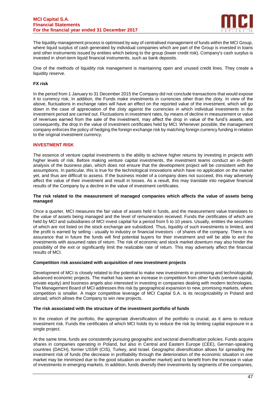

The liquidity management process is optimised by way of centralised management of funds within the MCI Group, where liquid surplus of cash generated by individual companies which are part of the Group is invested in loans and other instruments issued by entities which belong to the group (lower credit risk). Company's cash surplus is invested in short-term liquid financial instruments, such as bank deposits.

One of the methods of liquidity risk management is maintaining open and unused credit lines. They create a liquidity reserve.

# **FX risk**

In the period from 1 January to 31 December 2015 the Company did not conclude transactions that would expose it to currency risk. In addition, the Funds make investments in currencies other than the zloty. In view of the above, fluctuations in exchange rates will have an effect on the reported value of the investment, which will go down in the case of appreciation of the zloty against the currencies in which individual investments in the investment period are carried out. Fluctuations in investment rates, by means of decline in measurement or value of revenues earned from the sale of the investment, may affect the drop in value of the fund's assets, and consequently, the drop in the value of investment certificates held by MCI. Whenever possible, the management company enforces the policy of hedging the foreign exchange risk by matching foreign currency funding in relation to the original investment currency.

# **INVESTMENT RISK**

The essence of venture capital investments is the ability to achieve higher returns by investing in projects with higher levels of risk. Before making venture capital investments, the investment teams conduct an in-depth analysis of the business plan, which does not ensure that the development project will be consistent with the assumptions. In particular, this is true for the technological innovations which have no application on the market yet, and thus are difficult to assess. If the business model of a company does not succeed, this may adversely affect the value of their investment and result in losses. As a result, this may translate into negative financial results of the Company by a decline in the value of investment certificates.

## **The risk related to the measurement of managed companies which affects the value of assets being managed**

Once a quarter, MCI measures the fair value of assets held in funds, and the measurement value translates to the value of assets being managed and the level of remuneration received. Funds the certificates of which are held by MCI and subsidiaries of MCI invest capital for a period from 5 to 10 years. Usually, entities the securities of which are not listed on the stock exchange are subsidized. Thus, liquidity of such investments is limited, and the profit is earned by selling - usually to industry or financial investors - of shares of the company. There is no assurance that in future the funds will find potential buyers for their investment and will be able to exit the investments with assumed rates of return. The risk of economic and stock market downturn may also hinder the possibility of the exit or significantly limit the realizable rate of return. This may adversely affect the financial results of MCI.

# **Competition risk associated with acquisition of new investment projects**

Development of MCI is closely related to the potential to make new investments in promising and technologically advanced economic projects. The market has seen an increase in competition from other funds (venture capital, private equity) and business angels also interested in investing in companies dealing with modern technologies. The Management Board of MCI addresses this risk by geographical expansion to new, promising markets, where competition is smaller. A major competitive leverage of MCI Capital S.A. is its recognizability in Poland and abroad, which allows the Company to win new projects.

# **The risk associated with the structure of the investment portfolio of funds**

In the creation of the portfolio, the appropriate diversification of the portfolio is crucial, as it aims to reduce investment risk. Funds the certificates of which MCI holds try to reduce the risk by limiting capital exposure in a single project.

At the same time, funds are consistently pursuing geographic and sectoral diversification policies. Funds acquire shares in companies operating in Poland, but also in Central and Eastern Europe (CEE), German-speaking countries (DACH), former USSR (CIS), Turkey, and Israel. Geographic diversification allows for spreading the investment risk of funds (the decrease in profitability through the deterioration of the economic situation in one market may be minimized due to the good situation on another market) and to benefit from the increase in value of investments in emerging markets. In addition, funds diversify their investments by segments of the companies,